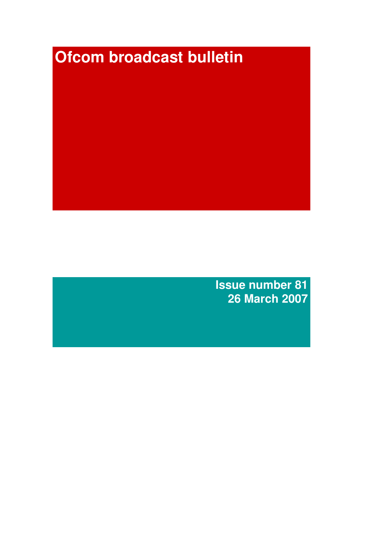# ,**Ofcom broadcast bulletin**

**Issue number 81 26 March 2007**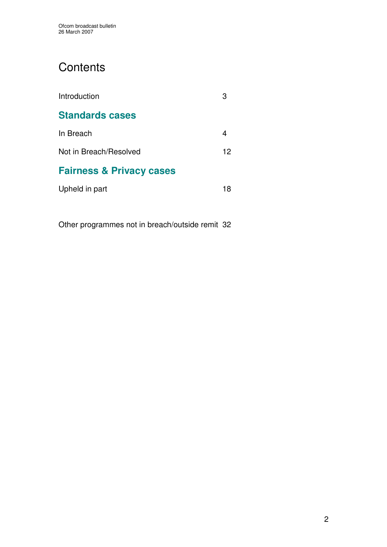# **Contents**

| Introduction                        |    |
|-------------------------------------|----|
| <b>Standards cases</b>              |    |
| In Breach                           |    |
| Not in Breach/Resolved              | 12 |
| <b>Fairness &amp; Privacy cases</b> |    |
| Upheld in part                      | 18 |
|                                     |    |

Other programmes not in breach/outside remit 32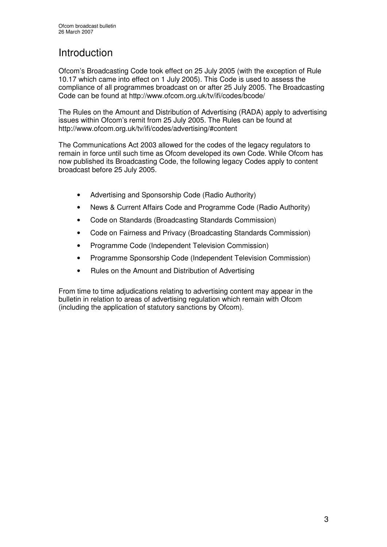# Introduction

Ofcom's Broadcasting Code took effect on 25 July 2005 (with the exception of Rule 10.17 which came into effect on 1 July 2005). This Code is used to assess the compliance of all programmes broadcast on or after 25 July 2005. The Broadcasting Code can be found at http://www.ofcom.org.uk/tv/ifi/codes/bcode/

The Rules on the Amount and Distribution of Advertising (RADA) apply to advertising issues within Ofcom's remit from 25 July 2005. The Rules can be found at http://www.ofcom.org.uk/tv/ifi/codes/advertising/#content

The Communications Act 2003 allowed for the codes of the legacy regulators to remain in force until such time as Ofcom developed its own Code. While Ofcom has now published its Broadcasting Code, the following legacy Codes apply to content broadcast before 25 July 2005.

- Advertising and Sponsorship Code (Radio Authority)
- News & Current Affairs Code and Programme Code (Radio Authority)
- Code on Standards (Broadcasting Standards Commission)
- Code on Fairness and Privacy (Broadcasting Standards Commission)
- Programme Code (Independent Television Commission)
- Programme Sponsorship Code (Independent Television Commission)
- Rules on the Amount and Distribution of Advertising

From time to time adjudications relating to advertising content may appear in the bulletin in relation to areas of advertising regulation which remain with Ofcom (including the application of statutory sanctions by Ofcom).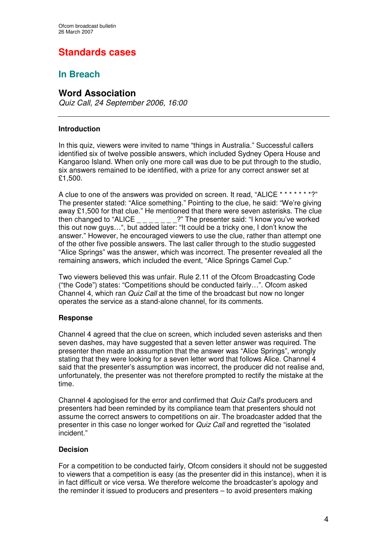# **Standards cases**

# **In Breach**

# **Word Association**

*Quiz Call, 24 September 2006, 16:00*

### **Introduction**

In this quiz, viewers were invited to name "things in Australia." Successful callers identified six of twelve possible answers, which included Sydney Opera House and Kangaroo Island. When only one more call was due to be put through to the studio, six answers remained to be identified, with a prize for any correct answer set at £1,500.

A clue to one of the answers was provided on screen. It read, "ALICE \* \* \* \* \* \* \*?" The presenter stated: "Alice something." Pointing to the clue, he said: "We're giving away £1,500 for that clue." He mentioned that there were seven asterisks. The clue then changed to "ALICE  $\frac{1}{1-\frac{1}{1-\frac{1}{1-\frac{1}{1-\frac{1}{1-\frac{1}{1-\frac{1}{1-\frac{1}{1-\frac{1}{1-\frac{1}{1-\frac{1}{1-\frac{1}{1-\frac{1}{1-\frac{1}{1-\frac{1}{1-\frac{1}{1-\frac{1}{1-\frac{1}{1-\frac{1}{1-\frac{1}{1-\frac{1}{1-\frac{1}{1-\frac{1}{1-\frac{1}{1-\frac{1}{1-\frac{1}{1-\frac{1}{1-\frac{1}{1-\frac{1}{1-\frac{1}{1-\frac{1}{1-\frac{1}{1-\frac{1}{$ this out now guys…", but added later: "It could be a tricky one, I don't know the answer." However, he encouraged viewers to use the clue, rather than attempt one of the other five possible answers. The last caller through to the studio suggested "Alice Springs" was the answer, which was incorrect. The presenter revealed all the remaining answers, which included the event, "Alice Springs Camel Cup."

Two viewers believed this was unfair. Rule 2.11 of the Ofcom Broadcasting Code ("the Code") states: "Competitions should be conducted fairly…". Ofcom asked Channel 4, which ran *Quiz Call* at the time of the broadcast but now no longer operates the service as a stand-alone channel, for its comments.

### **Response**

Channel 4 agreed that the clue on screen, which included seven asterisks and then seven dashes, may have suggested that a seven letter answer was required. The presenter then made an assumption that the answer was "Alice Springs", wrongly stating that they were looking for a seven letter word that follows Alice. Channel 4 said that the presenter's assumption was incorrect, the producer did not realise and, unfortunately, the presenter was not therefore prompted to rectify the mistake at the time.

Channel 4 apologised for the error and confirmed that *Quiz Call*'s producers and presenters had been reminded by its compliance team that presenters should not assume the correct answers to competitions on air. The broadcaster added that the presenter in this case no longer worked for *Quiz Call* and regretted the "isolated incident."

### **Decision**

For a competition to be conducted fairly, Ofcom considers it should not be suggested to viewers that a competition is easy (as the presenter did in this instance), when it is in fact difficult or vice versa. We therefore welcome the broadcaster's apology and the reminder it issued to producers and presenters – to avoid presenters making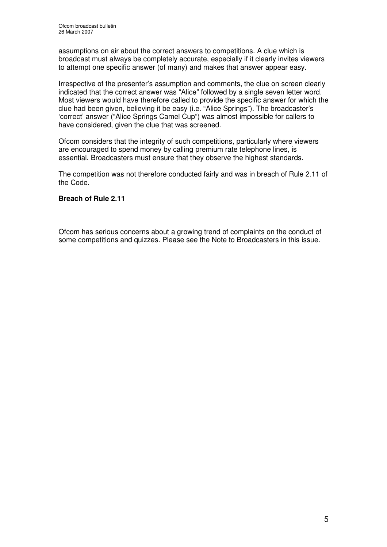assumptions on air about the correct answers to competitions. A clue which is broadcast must always be completely accurate, especially if it clearly invites viewers to attempt one specific answer (of many) and makes that answer appear easy.

Irrespective of the presenter's assumption and comments, the clue on screen clearly indicated that the correct answer was "Alice" followed by a single seven letter word. Most viewers would have therefore called to provide the specific answer for which the clue had been given, believing it be easy (i.e. "Alice Springs"). The broadcaster's 'correct' answer ("Alice Springs Camel Cup") was almost impossible for callers to have considered, given the clue that was screened.

Ofcom considers that the integrity of such competitions, particularly where viewers are encouraged to spend money by calling premium rate telephone lines, is essential. Broadcasters must ensure that they observe the highest standards.

The competition was not therefore conducted fairly and was in breach of Rule 2.11 of the Code.

### **Breach of Rule 2.11**

Ofcom has serious concerns about a growing trend of complaints on the conduct of some competitions and quizzes. Please see the Note to Broadcasters in this issue.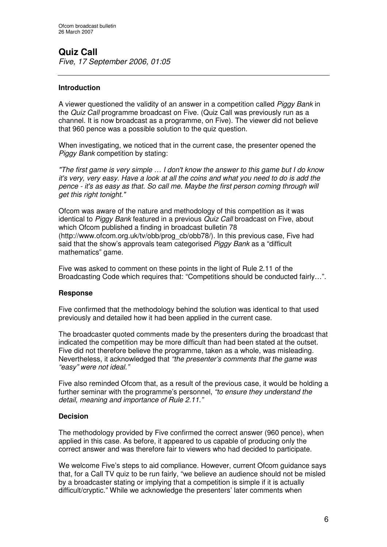# **Quiz Call**

*Five, 17 September 2006, 01:05*

### **Introduction**

A viewer questioned the validity of an answer in a competition called *Piggy Bank* in the *Quiz Call* programme broadcast on Five. (Quiz Call was previously run as a channel. It is now broadcast as a programme, on Five). The viewer did not believe that 960 pence was a possible solution to the quiz question.

When investigating, we noticed that in the current case, the presenter opened the *Piggy Bank* competition by stating:

*"The first game is very simple … I don't know the answer to this game but I do know* it's very, very easy. Have a look at all the coins and what you need to do is add the *pence - it's as easy as that. So call me. Maybe the first person coming through will get this right tonight."*

Ofcom was aware of the nature and methodology of this competition as it was identical to *Piggy Bank* featured in a previous *Quiz Call* broadcast on Five, about which Ofcom published a finding in broadcast bulletin 78 (http://www.ofcom.org.uk/tv/obb/prog\_cb/obb78/). In this previous case, Five had said that the show's approvals team categorised *Piggy Bank* as a "difficult mathematics" game.

Five was asked to comment on these points in the light of Rule 2.11 of the Broadcasting Code which requires that: "Competitions should be conducted fairly…".

### **Response**

Five confirmed that the methodology behind the solution was identical to that used previously and detailed how it had been applied in the current case.

The broadcaster quoted comments made by the presenters during the broadcast that indicated the competition may be more difficult than had been stated at the outset. Five did not therefore believe the programme, taken as a whole, was misleading. Nevertheless, it acknowledged that *"the presenter's comments that the game was "easy" were not ideal."*

Five also reminded Ofcom that, as a result of the previous case, it would be holding a further seminar with the programme's personnel, *"to ensure they understand the detail, meaning and importance of Rule 2.11."*

### **Decision**

The methodology provided by Five confirmed the correct answer (960 pence), when applied in this case. As before, it appeared to us capable of producing only the correct answer and was therefore fair to viewers who had decided to participate.

We welcome Five's steps to aid compliance. However, current Ofcom guidance says that, for a Call TV quiz to be run fairly, "we believe an audience should not be misled by a broadcaster stating or implying that a competition is simple if it is actually difficult/cryptic." While we acknowledge the presenters' later comments when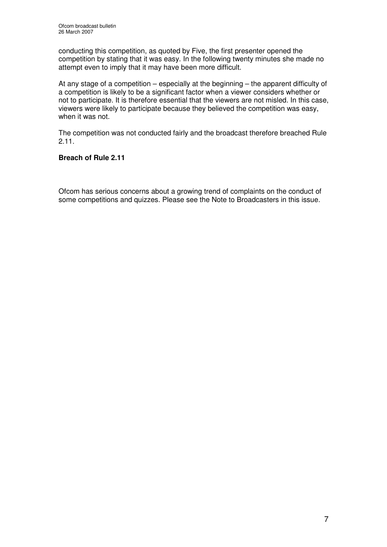conducting this competition, as quoted by Five, the first presenter opened the competition by stating that it was easy. In the following twenty minutes she made no attempt even to imply that it may have been more difficult.

At any stage of a competition – especially at the beginning – the apparent difficulty of a competition is likely to be a significant factor when a viewer considers whether or not to participate. It is therefore essential that the viewers are not misled. In this case, viewers were likely to participate because they believed the competition was easy, when it was not.

The competition was not conducted fairly and the broadcast therefore breached Rule 2.11.

### **Breach of Rule 2.11**

Ofcom has serious concerns about a growing trend of complaints on the conduct of some competitions and quizzes. Please see the Note to Broadcasters in this issue.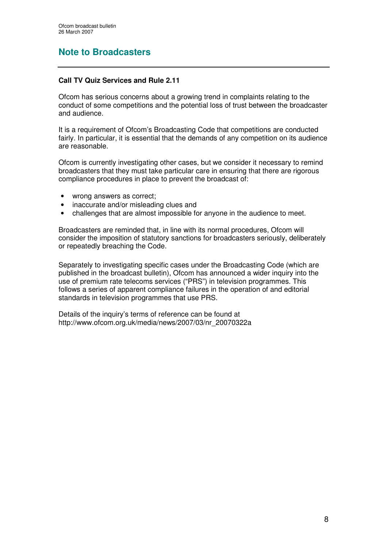# **Note to Broadcasters**

### **Call TV Quiz Services and Rule 2.11**

Ofcom has serious concerns about a growing trend in complaints relating to the conduct of some competitions and the potential loss of trust between the broadcaster and audience.

It is a requirement of Ofcom's Broadcasting Code that competitions are conducted fairly. In particular, it is essential that the demands of any competition on its audience are reasonable.

Ofcom is currently investigating other cases, but we consider it necessary to remind broadcasters that they must take particular care in ensuring that there are rigorous compliance procedures in place to prevent the broadcast of:

- wrong answers as correct:
- inaccurate and/or misleading clues and
- challenges that are almost impossible for anyone in the audience to meet.

Broadcasters are reminded that, in line with its normal procedures, Ofcom will consider the imposition of statutory sanctions for broadcasters seriously, deliberately or repeatedly breaching the Code.

Separately to investigating specific cases under the Broadcasting Code (which are published in the broadcast bulletin), Ofcom has announced a wider inquiry into the use of premium rate telecoms services ("PRS") in television programmes. This follows a series of apparent compliance failures in the operation of and editorial standards in television programmes that use PRS.

Details of the inquiry's terms of reference can be found at http://www.ofcom.org.uk/media/news/2007/03/nr\_20070322a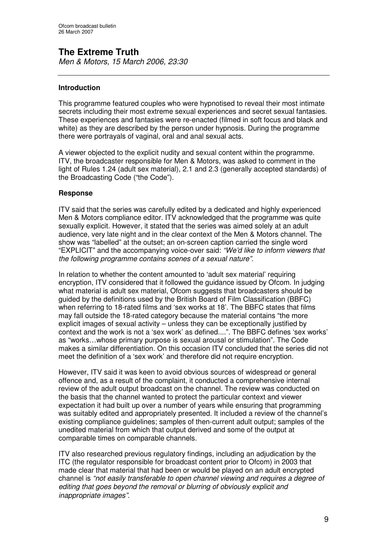# **The Extreme Truth**

*Men & Motors, 15 March 2006, 23:30*

### **Introduction**

This programme featured couples who were hypnotised to reveal their most intimate secrets including their most extreme sexual experiences and secret sexual fantasies. These experiences and fantasies were re-enacted (filmed in soft focus and black and white) as they are described by the person under hypnosis. During the programme there were portrayals of vaginal, oral and anal sexual acts.

A viewer objected to the explicit nudity and sexual content within the programme. ITV, the broadcaster responsible for Men & Motors, was asked to comment in the light of Rules 1.24 (adult sex material), 2.1 and 2.3 (generally accepted standards) of the Broadcasting Code ("the Code").

### **Response**

ITV said that the series was carefully edited by a dedicated and highly experienced Men & Motors compliance editor. ITV acknowledged that the programme was quite sexually explicit. However, it stated that the series was aimed solely at an adult audience, very late night and in the clear context of the Men & Motors channel. The show was "labelled" at the outset; an on-screen caption carried the single word "EXPLICIT" and the accompanying voice-over said: *"We'd like to inform viewers that the following programme contains scenes of a sexual nature".*

In relation to whether the content amounted to 'adult sex material' requiring encryption, ITV considered that it followed the guidance issued by Ofcom. In judging what material is adult sex material, Ofcom suggests that broadcasters should be guided by the definitions used by the British Board of Film Classification (BBFC) when referring to 18-rated films and 'sex works at 18'. The BBFC states that films may fall outside the 18-rated category because the material contains "the more explicit images of sexual activity – unless they can be exceptionally justified by context and the work is not a 'sex work' as defined....". The BBFC defines 'sex works' as "works…whose primary purpose is sexual arousal or stimulation". The Code makes a similar differentiation. On this occasion ITV concluded that the series did not meet the definition of a 'sex work' and therefore did not require encryption.

However, ITV said it was keen to avoid obvious sources of widespread or general offence and, as a result of the complaint, it conducted a comprehensive internal review of the adult output broadcast on the channel. The review was conducted on the basis that the channel wanted to protect the particular context and viewer expectation it had built up over a number of years while ensuring that programming was suitably edited and appropriately presented. It included a review of the channel's existing compliance guidelines; samples of then-current adult output; samples of the unedited material from which that output derived and some of the output at comparable times on comparable channels.

ITV also researched previous regulatory findings, including an adjudication by the ITC (the regulator responsible for broadcast content prior to Ofcom) in 2003 that made clear that material that had been or would be played on an adult encrypted channel is *"not easily transferable to open channel viewing and requires a degree of editing that goes beyond the removal or blurring of obviously explicit and inappropriate images".*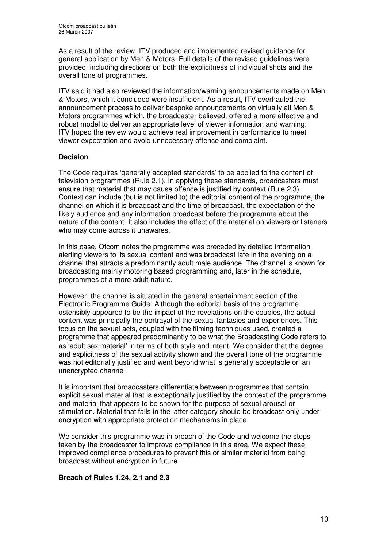As a result of the review, ITV produced and implemented revised guidance for general application by Men & Motors. Full details of the revised guidelines were provided, including directions on both the explicitness of individual shots and the overall tone of programmes.

ITV said it had also reviewed the information/warning announcements made on Men & Motors, which it concluded were insufficient. As a result, ITV overhauled the announcement process to deliver bespoke announcements on virtually all Men & Motors programmes which, the broadcaster believed, offered a more effective and robust model to deliver an appropriate level of viewer information and warning. ITV hoped the review would achieve real improvement in performance to meet viewer expectation and avoid unnecessary offence and complaint.

### **Decision**

The Code requires 'generally accepted standards' to be applied to the content of television programmes (Rule 2.1). In applying these standards, broadcasters must ensure that material that may cause offence is justified by context (Rule 2.3). Context can include (but is not limited to) the editorial content of the programme, the channel on which it is broadcast and the time of broadcast, the expectation of the likely audience and any information broadcast before the programme about the nature of the content. It also includes the effect of the material on viewers or listeners who may come across it unawares.

In this case, Ofcom notes the programme was preceded by detailed information alerting viewers to its sexual content and was broadcast late in the evening on a channel that attracts a predominantly adult male audience. The channel is known for broadcasting mainly motoring based programming and, later in the schedule, programmes of a more adult nature.

However, the channel is situated in the general entertainment section of the Electronic Programme Guide. Although the editorial basis of the programme ostensibly appeared to be the impact of the revelations on the couples, the actual content was principally the portrayal of the sexual fantasies and experiences. This focus on the sexual acts, coupled with the filming techniques used, created a programme that appeared predominantly to be what the Broadcasting Code refers to as 'adult sex material' in terms of both style and intent. We consider that the degree and explicitness of the sexual activity shown and the overall tone of the programme was not editorially justified and went beyond what is generally acceptable on an unencrypted channel.

It is important that broadcasters differentiate between programmes that contain explicit sexual material that is exceptionally justified by the context of the programme and material that appears to be shown for the purpose of sexual arousal or stimulation. Material that falls in the latter category should be broadcast only under encryption with appropriate protection mechanisms in place.

We consider this programme was in breach of the Code and welcome the steps taken by the broadcaster to improve compliance in this area. We expect these improved compliance procedures to prevent this or similar material from being broadcast without encryption in future.

### **Breach of Rules 1.24, 2.1 and 2.3**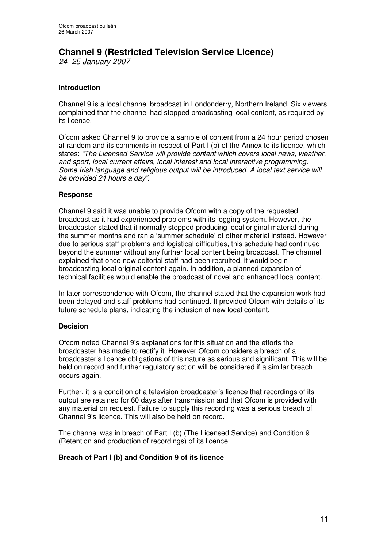# **Channel 9 (Restricted Television Service Licence)**

*24–25 January 2007*

### **Introduction**

Channel 9 is a local channel broadcast in Londonderry, Northern Ireland. Six viewers complained that the channel had stopped broadcasting local content, as required by its licence.

Ofcom asked Channel 9 to provide a sample of content from a 24 hour period chosen at random and its comments in respect of Part I (b) of the Annex to its licence, which states: *"The Licensed Service will provide content which covers local news, weather, and sport, local current affairs, local interest and local interactive programming. Some Irish language and religious output will be introduced. A local text service will be provided 24 hours a day".*

### **Response**

Channel 9 said it was unable to provide Ofcom with a copy of the requested broadcast as it had experienced problems with its logging system. However, the broadcaster stated that it normally stopped producing local original material during the summer months and ran a 'summer schedule' of other material instead. However due to serious staff problems and logistical difficulties, this schedule had continued beyond the summer without any further local content being broadcast. The channel explained that once new editorial staff had been recruited, it would begin broadcasting local original content again. In addition, a planned expansion of technical facilities would enable the broadcast of novel and enhanced local content.

In later correspondence with Ofcom, the channel stated that the expansion work had been delayed and staff problems had continued. It provided Ofcom with details of its future schedule plans, indicating the inclusion of new local content.

### **Decision**

Ofcom noted Channel 9's explanations for this situation and the efforts the broadcaster has made to rectify it. However Ofcom considers a breach of a broadcaster's licence obligations of this nature as serious and significant. This will be held on record and further regulatory action will be considered if a similar breach occurs again.

Further, it is a condition of a television broadcaster's licence that recordings of its output are retained for 60 days after transmission and that Ofcom is provided with any material on request. Failure to supply this recording was a serious breach of Channel 9's licence. This will also be held on record.

The channel was in breach of Part I (b) (The Licensed Service) and Condition 9 (Retention and production of recordings) of its licence.

### **Breach of Part I (b) and Condition 9 of its licence**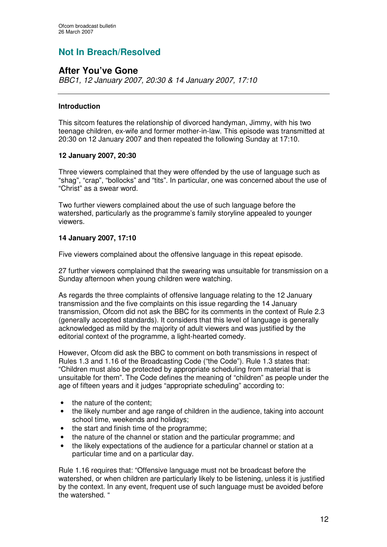# **Not In Breach/Resolved**

# **After You've Gone**

*BBC1, 12 January 2007, 20:30 & 14 January 2007, 17:10*

### **Introduction**

This sitcom features the relationship of divorced handyman, Jimmy, with his two teenage children, ex-wife and former mother-in-law. This episode was transmitted at 20:30 on 12 January 2007 and then repeated the following Sunday at 17:10.

### **12 January 2007, 20:30**

Three viewers complained that they were offended by the use of language such as "shag", "crap", "bollocks" and "tits". In particular, one was concerned about the use of "Christ" as a swear word.

Two further viewers complained about the use of such language before the watershed, particularly as the programme's family storyline appealed to younger viewers.

### **14 January 2007, 17:10**

Five viewers complained about the offensive language in this repeat episode.

27 further viewers complained that the swearing was unsuitable for transmission on a Sunday afternoon when young children were watching.

As regards the three complaints of offensive language relating to the 12 January transmission and the five complaints on this issue regarding the 14 January transmission, Ofcom did not ask the BBC for its comments in the context of Rule 2.3 (generally accepted standards). It considers that this level of language is generally acknowledged as mild by the majority of adult viewers and was justified by the editorial context of the programme, a light-hearted comedy.

However, Ofcom did ask the BBC to comment on both transmissions in respect of Rules 1.3 and 1.16 of the Broadcasting Code ("the Code"). Rule 1.3 states that: "Children must also be protected by appropriate scheduling from material that is unsuitable for them". The Code defines the meaning of "children" as people under the age of fifteen years and it judges "appropriate scheduling" according to:

- the nature of the content:
- the likely number and age range of children in the audience, taking into account school time, weekends and holidays;
- the start and finish time of the programme;
- the nature of the channel or station and the particular programme; and
- the likely expectations of the audience for a particular channel or station at a particular time and on a particular day.

Rule 1.16 requires that: "Offensive language must not be broadcast before the watershed, or when children are particularly likely to be listening, unless it is justified by the context. In any event, frequent use of such language must be avoided before the watershed. "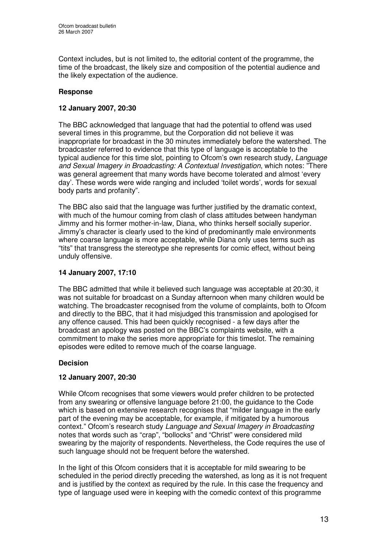Context includes, but is not limited to, the editorial content of the programme, the time of the broadcast, the likely size and composition of the potential audience and the likely expectation of the audience.

### **Response**

### **12 January 2007, 20:30**

The BBC acknowledged that language that had the potential to offend was used several times in this programme, but the Corporation did not believe it was inappropriate for broadcast in the 30 minutes immediately before the watershed. The broadcaster referred to evidence that this type of language is acceptable to the typical audience for this time slot, pointing to Ofcom's own research study, *Language and Sexual Imagery in Broadcasting: A Contextual Investigation*, which notes: "There was general agreement that many words have become tolerated and almost 'every day'. These words were wide ranging and included 'toilet words', words for sexual body parts and profanity".

The BBC also said that the language was further justified by the dramatic context, with much of the humour coming from clash of class attitudes between handyman Jimmy and his former mother-in-law, Diana, who thinks herself socially superior. Jimmy's character is clearly used to the kind of predominantly male environments where coarse language is more acceptable, while Diana only uses terms such as "tits" that transgress the stereotype she represents for comic effect, without being unduly offensive.

### **14 January 2007, 17:10**

The BBC admitted that while it believed such language was acceptable at 20:30, it was not suitable for broadcast on a Sunday afternoon when many children would be watching. The broadcaster recognised from the volume of complaints, both to Ofcom and directly to the BBC, that it had misjudged this transmission and apologised for any offence caused. This had been quickly recognised - a few days after the broadcast an apology was posted on the BBC's complaints website, with a commitment to make the series more appropriate for this timeslot. The remaining episodes were edited to remove much of the coarse language.

### **Decision**

### **12 January 2007, 20:30**

While Ofcom recognises that some viewers would prefer children to be protected from any swearing or offensive language before 21:00, the guidance to the Code which is based on extensive research recognises that "milder language in the early part of the evening may be acceptable, for example, if mitigated by a humorous context." Ofcom's research study *Language and Sexual Imagery in Broadcasting* notes that words such as "crap", "bollocks" and "Christ" were considered mild swearing by the majority of respondents. Nevertheless, the Code requires the use of such language should not be frequent before the watershed.

In the light of this Ofcom considers that it is acceptable for mild swearing to be scheduled in the period directly preceding the watershed, as long as it is not frequent and is justified by the context as required by the rule. In this case the frequency and type of language used were in keeping with the comedic context of this programme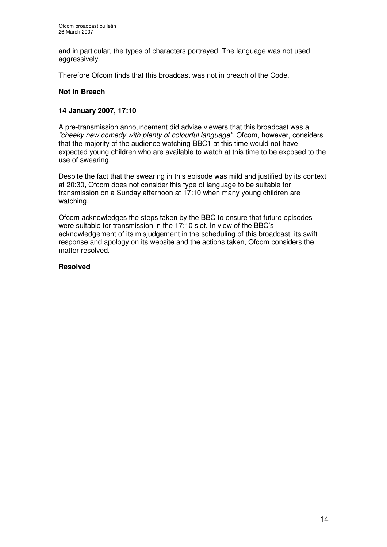and in particular, the types of characters portrayed. The language was not used aggressively.

Therefore Ofcom finds that this broadcast was not in breach of the Code.

### **Not In Breach**

### **14 January 2007, 17:10**

A pre-transmission announcement did advise viewers that this broadcast was a *"cheeky new comedy with plenty of colourful language"*. Ofcom, however, considers that the majority of the audience watching BBC1 at this time would not have expected young children who are available to watch at this time to be exposed to the use of swearing.

Despite the fact that the swearing in this episode was mild and justified by its context at 20:30, Ofcom does not consider this type of language to be suitable for transmission on a Sunday afternoon at 17:10 when many young children are watching.

Ofcom acknowledges the steps taken by the BBC to ensure that future episodes were suitable for transmission in the 17:10 slot. In view of the BBC's acknowledgement of its misjudgement in the scheduling of this broadcast, its swift response and apology on its website and the actions taken, Ofcom considers the matter resolved.

### **Resolved**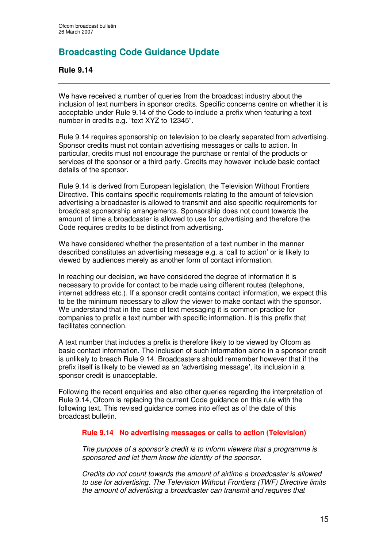# **Broadcasting Code Guidance Update**

### **Rule 9.14**

We have received a number of queries from the broadcast industry about the inclusion of text numbers in sponsor credits. Specific concerns centre on whether it is acceptable under Rule 9.14 of the Code to include a prefix when featuring a text number in credits e.g. "text XYZ to 12345".

Rule 9.14 requires sponsorship on television to be clearly separated from advertising. Sponsor credits must not contain advertising messages or calls to action. In particular, credits must not encourage the purchase or rental of the products or services of the sponsor or a third party. Credits may however include basic contact details of the sponsor.

Rule 9.14 is derived from European legislation, the Television Without Frontiers Directive. This contains specific requirements relating to the amount of television advertising a broadcaster is allowed to transmit and also specific requirements for broadcast sponsorship arrangements. Sponsorship does not count towards the amount of time a broadcaster is allowed to use for advertising and therefore the Code requires credits to be distinct from advertising.

We have considered whether the presentation of a text number in the manner described constitutes an advertising message e.g. a 'call to action' or is likely to viewed by audiences merely as another form of contact information.

In reaching our decision, we have considered the degree of information it is necessary to provide for contact to be made using different routes (telephone, internet address etc.). If a sponsor credit contains contact information, we expect this to be the minimum necessary to allow the viewer to make contact with the sponsor. We understand that in the case of text messaging it is common practice for companies to prefix a text number with specific information. It is this prefix that facilitates connection.

A text number that includes a prefix is therefore likely to be viewed by Ofcom as basic contact information. The inclusion of such information alone in a sponsor credit is unlikely to breach Rule 9.14. Broadcasters should remember however that if the prefix itself is likely to be viewed as an 'advertising message', its inclusion in a sponsor credit is unacceptable.

Following the recent enquiries and also other queries regarding the interpretation of Rule 9.14, Ofcom is replacing the current Code guidance on this rule with the following text. This revised guidance comes into effect as of the date of this broadcast bulletin.

### **Rule 9.14 No advertising messages or calls to action (Television)**

*The purpose of a sponsor's credit is to inform viewers that a programme is sponsored and let them know the identity of the sponsor.*

*Credits do not count towards the amount of airtime a broadcaster is allowed to use for advertising. The Television Without Frontiers (TWF) Directive limits the amount of advertising a broadcaster can transmit and requires that*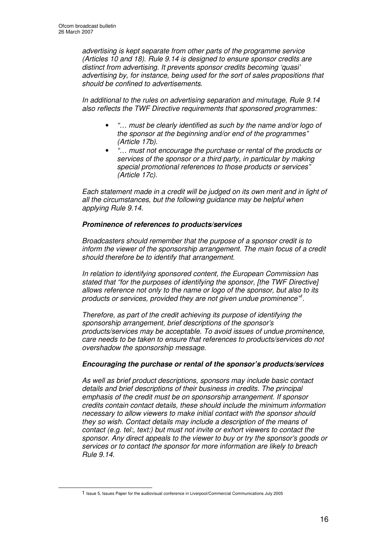*advertising is kept separate from other parts of the programme service (Articles 10 and 18). Rule 9.14 is designed to ensure sponsor credits are distinct from advertising. It prevents sponsor credits becoming 'quasi' advertising by, for instance, being used for the sort of sales propositions that should be confined to advertisements.*

*In additional to the rules on advertising separation and minutage, Rule 9.14 also reflects the TWF Directive requirements that sponsored programmes:*

- *"… must be clearly identified as such by the name and/or logo of the sponsor at the beginning and/or end of the programmes" (Article 17b).*
- *"… must not encourage the purchase or rental of the products or services of the sponsor or a third party, in particular by making special promotional references to those products or services" (Article 17c).*

*Each statement made in a credit will be judged on its own merit and in light of all the circumstances, but the following guidance may be helpful when applying Rule 9.14.*

### *Prominence of references to products/services*

*Broadcasters should remember that the purpose of a sponsor credit is to inform the viewer of the sponsorship arrangement. The main focus of a credit should therefore be to identify that arrangement.*

*In relation to identifying sponsored content, the European Commission has stated that "for the purposes of identifying the sponsor, [the TWF Directive] allows reference not only to the name or logo of the sponsor, but also to its products or services, provided they are not given undue prominence" 1 .*

*Therefore, as part of the credit achieving its purpose of identifying the sponsorship arrangement, brief descriptions of the sponsor's products/services may be acceptable. To avoid issues of undue prominence, care needs to be taken to ensure that references to products/services do not overshadow the sponsorship message.*

### *Encouraging the purchase or rental of the sponsor's products/services*

*As well as brief product descriptions, sponsors may include basic contact details and brief descriptions of their business in credits. The principal emphasis of the credit must be on sponsorship arrangement. If sponsor credits contain contact details, these should include the minimum information necessary to allow viewers to make initial contact with the sponsor should they so wish. Contact details may include a description of the means of contact (e.g. tel:, text:) but must not invite or exhort viewers to contact the sponsor. Any direct appeals to the viewer to buy or try the sponsor's goods or services or to contact the sponsor for more information are likely to breach Rule 9.14.*

<sup>1</sup> Issue 5, Issues Paper for the audiovisual conference in Liverpool/Commercial Communications July 2005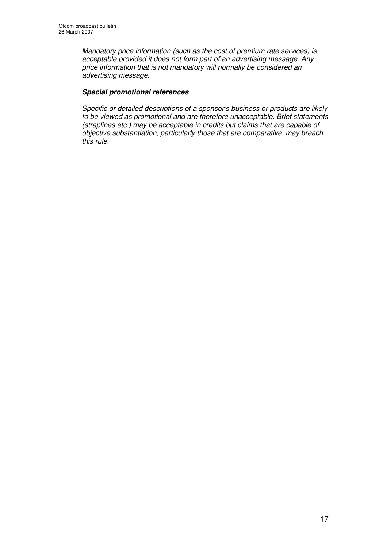*Mandatory price information (such as the cost of premium rate services) is acceptable provided it does not form part of an advertising message. Any price information that is not mandatory will normally be considered an advertising message.*

### *Special promotional references*

*Specific or detailed descriptions of a sponsor's business or products are likely to be viewed as promotional and are therefore unacceptable. Brief statements (straplines etc.) may be acceptable in credits but claims that are capable of objective substantiation, particularly those that are comparative, may breach this rule.*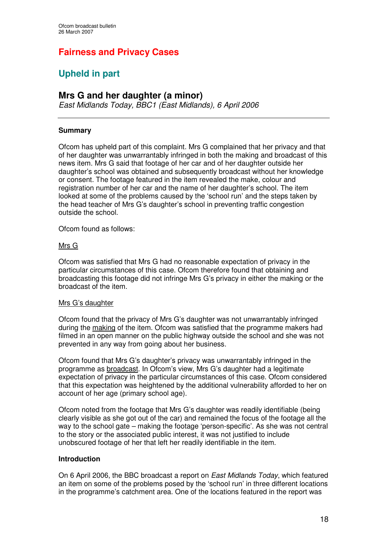# **Fairness and Privacy Cases**

# **Upheld in part**

# **Mrs G and her daughter (a minor)**

*East Midlands Today, BBC1 (East Midlands), 6 April 2006*

### **Summary**

Ofcom has upheld part of this complaint. Mrs G complained that her privacy and that of her daughter was unwarrantably infringed in both the making and broadcast of this news item. Mrs G said that footage of her car and of her daughter outside her daughter's school was obtained and subsequently broadcast without her knowledge or consent. The footage featured in the item revealed the make, colour and registration number of her car and the name of her daughter's school. The item looked at some of the problems caused by the 'school run' and the steps taken by the head teacher of Mrs G's daughter's school in preventing traffic congestion outside the school.

Ofcom found as follows:

### Mrs G

Ofcom was satisfied that Mrs G had no reasonable expectation of privacy in the particular circumstances of this case. Ofcom therefore found that obtaining and broadcasting this footage did not infringe Mrs G's privacy in either the making or the broadcast of the item.

### Mrs G's daughter

Ofcom found that the privacy of Mrs G's daughter was not unwarrantably infringed during the making of the item. Ofcom was satisfied that the programme makers had filmed in an open manner on the public highway outside the school and she was not prevented in any way from going about her business.

Ofcom found that Mrs G's daughter's privacy was unwarrantably infringed in the programme as broadcast. In Ofcom's view, Mrs G's daughter had a legitimate expectation of privacy in the particular circumstances of this case. Ofcom considered that this expectation was heightened by the additional vulnerability afforded to her on account of her age (primary school age).

Ofcom noted from the footage that Mrs G's daughter was readily identifiable (being clearly visible as she got out of the car) and remained the focus of the footage all the way to the school gate – making the footage 'person-specific'. As she was not central to the story or the associated public interest, it was not justified to include unobscured footage of her that left her readily identifiable in the item.

### **Introduction**

On 6 April 2006, the BBC broadcast a report on *East Midlands Today*, which featured an item on some of the problems posed by the 'school run' in three different locations in the programme's catchment area. One of the locations featured in the report was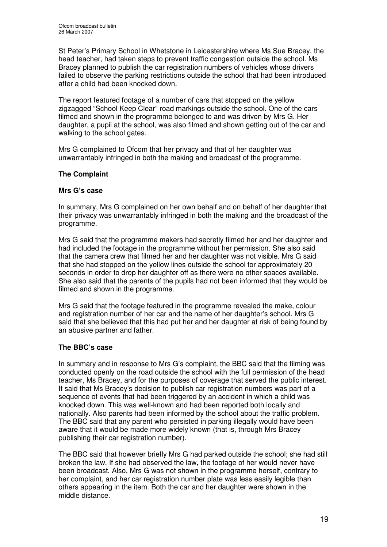St Peter's Primary School in Whetstone in Leicestershire where Ms Sue Bracey, the head teacher, had taken steps to prevent traffic congestion outside the school. Ms Bracey planned to publish the car registration numbers of vehicles whose drivers failed to observe the parking restrictions outside the school that had been introduced after a child had been knocked down.

The report featured footage of a number of cars that stopped on the yellow zigzagged "School Keep Clear" road markings outside the school. One of the cars filmed and shown in the programme belonged to and was driven by Mrs G. Her daughter, a pupil at the school, was also filmed and shown getting out of the car and walking to the school gates.

Mrs G complained to Ofcom that her privacy and that of her daughter was unwarrantably infringed in both the making and broadcast of the programme.

### **The Complaint**

### **Mrs G's case**

In summary, Mrs G complained on her own behalf and on behalf of her daughter that their privacy was unwarrantably infringed in both the making and the broadcast of the programme.

Mrs G said that the programme makers had secretly filmed her and her daughter and had included the footage in the programme without her permission. She also said that the camera crew that filmed her and her daughter was not visible. Mrs G said that she had stopped on the yellow lines outside the school for approximately 20 seconds in order to drop her daughter off as there were no other spaces available. She also said that the parents of the pupils had not been informed that they would be filmed and shown in the programme.

Mrs G said that the footage featured in the programme revealed the make, colour and registration number of her car and the name of her daughter's school. Mrs G said that she believed that this had put her and her daughter at risk of being found by an abusive partner and father.

### **The BBC's case**

In summary and in response to Mrs G's complaint, the BBC said that the filming was conducted openly on the road outside the school with the full permission of the head teacher, Ms Bracey, and for the purposes of coverage that served the public interest. It said that Ms Bracey's decision to publish car registration numbers was part of a sequence of events that had been triggered by an accident in which a child was knocked down. This was well-known and had been reported both locally and nationally. Also parents had been informed by the school about the traffic problem. The BBC said that any parent who persisted in parking illegally would have been aware that it would be made more widely known (that is, through Mrs Bracey publishing their car registration number).

The BBC said that however briefly Mrs G had parked outside the school; she had still broken the law. If she had observed the law, the footage of her would never have been broadcast. Also, Mrs G was not shown in the programme herself, contrary to her complaint, and her car registration number plate was less easily legible than others appearing in the item. Both the car and her daughter were shown in the middle distance.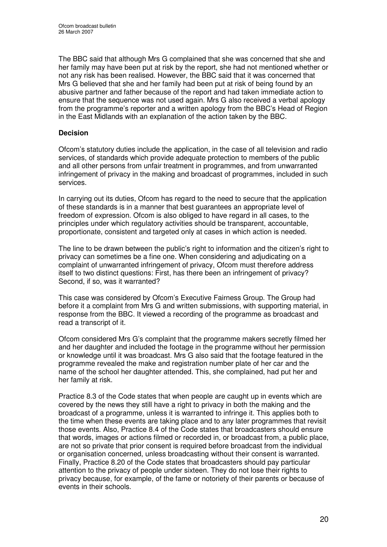The BBC said that although Mrs G complained that she was concerned that she and her family may have been put at risk by the report, she had not mentioned whether or not any risk has been realised. However, the BBC said that it was concerned that Mrs G believed that she and her family had been put at risk of being found by an abusive partner and father because of the report and had taken immediate action to ensure that the sequence was not used again. Mrs G also received a verbal apology from the programme's reporter and a written apology from the BBC's Head of Region in the East Midlands with an explanation of the action taken by the BBC.

### **Decision**

Ofcom's statutory duties include the application, in the case of all television and radio services, of standards which provide adequate protection to members of the public and all other persons from unfair treatment in programmes, and from unwarranted infringement of privacy in the making and broadcast of programmes, included in such services.

In carrying out its duties, Ofcom has regard to the need to secure that the application of these standards is in a manner that best guarantees an appropriate level of freedom of expression. Ofcom is also obliged to have regard in all cases, to the principles under which regulatory activities should be transparent, accountable, proportionate, consistent and targeted only at cases in which action is needed.

The line to be drawn between the public's right to information and the citizen's right to privacy can sometimes be a fine one. When considering and adjudicating on a complaint of unwarranted infringement of privacy, Ofcom must therefore address itself to two distinct questions: First, has there been an infringement of privacy? Second, if so, was it warranted?

This case was considered by Ofcom's Executive Fairness Group. The Group had before it a complaint from Mrs G and written submissions, with supporting material, in response from the BBC. It viewed a recording of the programme as broadcast and read a transcript of it.

Ofcom considered Mrs G's complaint that the programme makers secretly filmed her and her daughter and included the footage in the programme without her permission or knowledge until it was broadcast. Mrs G also said that the footage featured in the programme revealed the make and registration number plate of her car and the name of the school her daughter attended. This, she complained, had put her and her family at risk.

Practice 8.3 of the Code states that when people are caught up in events which are covered by the news they still have a right to privacy in both the making and the broadcast of a programme, unless it is warranted to infringe it. This applies both to the time when these events are taking place and to any later programmes that revisit those events. Also, Practice 8.4 of the Code states that broadcasters should ensure that words, images or actions filmed or recorded in, or broadcast from, a public place, are not so private that prior consent is required before broadcast from the individual or organisation concerned, unless broadcasting without their consent is warranted. Finally, Practice 8.20 of the Code states that broadcasters should pay particular attention to the privacy of people under sixteen. They do not lose their rights to privacy because, for example, of the fame or notoriety of their parents or because of events in their schools.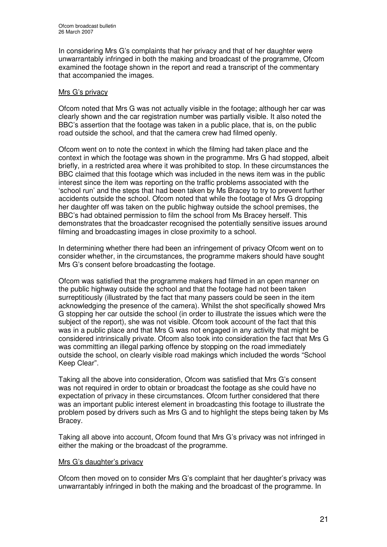In considering Mrs G's complaints that her privacy and that of her daughter were unwarrantably infringed in both the making and broadcast of the programme, Ofcom examined the footage shown in the report and read a transcript of the commentary that accompanied the images.

### Mrs G's privacy

Ofcom noted that Mrs G was not actually visible in the footage; although her car was clearly shown and the car registration number was partially visible. It also noted the BBC's assertion that the footage was taken in a public place, that is, on the public road outside the school, and that the camera crew had filmed openly.

Ofcom went on to note the context in which the filming had taken place and the context in which the footage was shown in the programme. Mrs G had stopped, albeit briefly, in a restricted area where it was prohibited to stop. In these circumstances the BBC claimed that this footage which was included in the news item was in the public interest since the item was reporting on the traffic problems associated with the 'school run' and the steps that had been taken by Ms Bracey to try to prevent further accidents outside the school. Ofcom noted that while the footage of Mrs G dropping her daughter off was taken on the public highway outside the school premises, the BBC's had obtained permission to film the school from Ms Bracey herself. This demonstrates that the broadcaster recognised the potentially sensitive issues around filming and broadcasting images in close proximity to a school.

In determining whether there had been an infringement of privacy Ofcom went on to consider whether, in the circumstances, the programme makers should have sought Mrs G's consent before broadcasting the footage.

Ofcom was satisfied that the programme makers had filmed in an open manner on the public highway outside the school and that the footage had not been taken surreptitiously (illustrated by the fact that many passers could be seen in the item acknowledging the presence of the camera). Whilst the shot specifically showed Mrs G stopping her car outside the school (in order to illustrate the issues which were the subject of the report), she was not visible. Ofcom took account of the fact that this was in a public place and that Mrs G was not engaged in any activity that might be considered intrinsically private. Ofcom also took into consideration the fact that Mrs G was committing an illegal parking offence by stopping on the road immediately outside the school, on clearly visible road makings which included the words "School Keep Clear".

Taking all the above into consideration, Ofcom was satisfied that Mrs G's consent was not required in order to obtain or broadcast the footage as she could have no expectation of privacy in these circumstances. Ofcom further considered that there was an important public interest element in broadcasting this footage to illustrate the problem posed by drivers such as Mrs G and to highlight the steps being taken by Ms Bracey.

Taking all above into account, Ofcom found that Mrs G's privacy was not infringed in either the making or the broadcast of the programme.

### Mrs G's daughter's privacy

Ofcom then moved on to consider Mrs G's complaint that her daughter's privacy was unwarrantably infringed in both the making and the broadcast of the programme. In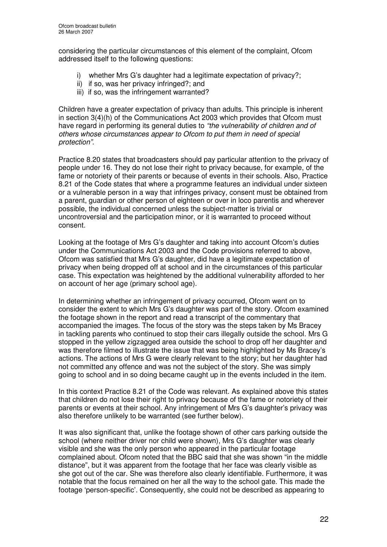considering the particular circumstances of this element of the complaint, Ofcom addressed itself to the following questions:

- i) whether Mrs G's daughter had a legitimate expectation of privacy?;
- ii) if so, was her privacy infringed?; and
- iii) if so, was the infringement warranted?

Children have a greater expectation of privacy than adults. This principle is inherent in section 3(4)(h) of the Communications Act 2003 which provides that Ofcom must have regard in performing its general duties to *"the vulnerability of children and of others whose circumstances appear to Ofcom to put them in need of special protection".*

Practice 8.20 states that broadcasters should pay particular attention to the privacy of people under 16. They do not lose their right to privacy because, for example, of the fame or notoriety of their parents or because of events in their schools. Also, Practice 8.21 of the Code states that where a programme features an individual under sixteen or a vulnerable person in a way that infringes privacy, consent must be obtained from a parent, guardian or other person of eighteen or over in loco parentis and wherever possible, the individual concerned unless the subject-matter is trivial or uncontroversial and the participation minor, or it is warranted to proceed without consent.

Looking at the footage of Mrs G's daughter and taking into account Ofcom's duties under the Communications Act 2003 and the Code provisions referred to above, Ofcom was satisfied that Mrs G's daughter, did have a legitimate expectation of privacy when being dropped off at school and in the circumstances of this particular case. This expectation was heightened by the additional vulnerability afforded to her on account of her age (primary school age).

In determining whether an infringement of privacy occurred, Ofcom went on to consider the extent to which Mrs G's daughter was part of the story. Ofcom examined the footage shown in the report and read a transcript of the commentary that accompanied the images. The focus of the story was the steps taken by Ms Bracey in tackling parents who continued to stop their cars illegally outside the school. Mrs G stopped in the yellow zigzagged area outside the school to drop off her daughter and was therefore filmed to illustrate the issue that was being highlighted by Ms Bracey's actions. The actions of Mrs G were clearly relevant to the story; but her daughter had not committed any offence and was not the subject of the story. She was simply going to school and in so doing became caught up in the events included in the item.

In this context Practice 8.21 of the Code was relevant. As explained above this states that children do not lose their right to privacy because of the fame or notoriety of their parents or events at their school. Any infringement of Mrs G's daughter's privacy was also therefore unlikely to be warranted (see further below).

It was also significant that, unlike the footage shown of other cars parking outside the school (where neither driver nor child were shown), Mrs G's daughter was clearly visible and she was the only person who appeared in the particular footage complained about. Ofcom noted that the BBC said that she was shown "in the middle distance", but it was apparent from the footage that her face was clearly visible as she got out of the car. She was therefore also clearly identifiable. Furthermore, it was notable that the focus remained on her all the way to the school gate. This made the footage 'person-specific'. Consequently, she could not be described as appearing to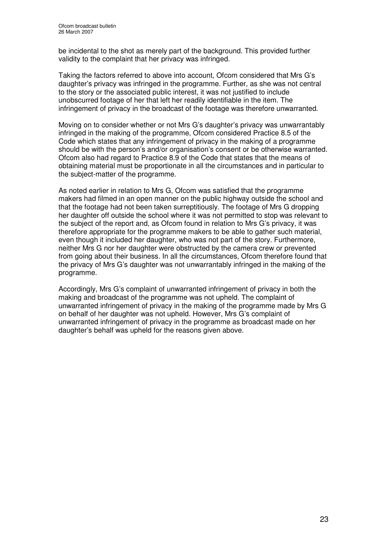be incidental to the shot as merely part of the background. This provided further validity to the complaint that her privacy was infringed.

Taking the factors referred to above into account, Ofcom considered that Mrs G's daughter's privacy was infringed in the programme. Further, as she was not central to the story or the associated public interest, it was not justified to include unobscurred footage of her that left her readily identifiable in the item. The infringement of privacy in the broadcast of the footage was therefore unwarranted.

Moving on to consider whether or not Mrs G's daughter's privacy was unwarrantably infringed in the making of the programme, Ofcom considered Practice 8.5 of the Code which states that any infringement of privacy in the making of a programme should be with the person's and/or organisation's consent or be otherwise warranted. Ofcom also had regard to Practice 8.9 of the Code that states that the means of obtaining material must be proportionate in all the circumstances and in particular to the subject-matter of the programme.

As noted earlier in relation to Mrs G, Ofcom was satisfied that the programme makers had filmed in an open manner on the public highway outside the school and that the footage had not been taken surreptitiously. The footage of Mrs G dropping her daughter off outside the school where it was not permitted to stop was relevant to the subject of the report and, as Ofcom found in relation to Mrs G's privacy, it was therefore appropriate for the programme makers to be able to gather such material, even though it included her daughter, who was not part of the story. Furthermore, neither Mrs G nor her daughter were obstructed by the camera crew or prevented from going about their business. In all the circumstances, Ofcom therefore found that the privacy of Mrs G's daughter was not unwarrantably infringed in the making of the programme.

Accordingly, Mrs G's complaint of unwarranted infringement of privacy in both the making and broadcast of the programme was not upheld. The complaint of unwarranted infringement of privacy in the making of the programme made by Mrs G on behalf of her daughter was not upheld. However, Mrs G's complaint of unwarranted infringement of privacy in the programme as broadcast made on her daughter's behalf was upheld for the reasons given above.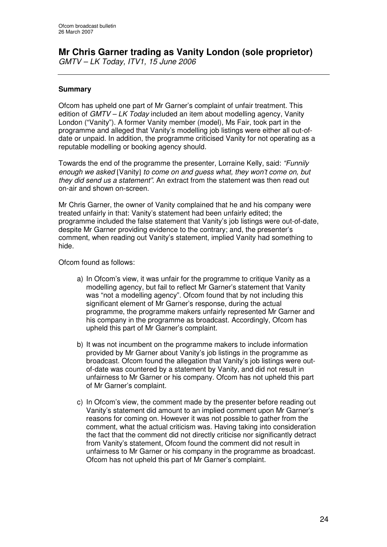# **Mr Chris Garner trading as Vanity London (sole proprietor)**

*GMTV – LK Today, ITV1, 15 June 2006*

### **Summary**

Ofcom has upheld one part of Mr Garner's complaint of unfair treatment. This edition of *GMTV – LK Today* included an item about modelling agency, Vanity London ("Vanity"). A former Vanity member (model), Ms Fair, took part in the programme and alleged that Vanity's modelling job listings were either all out-ofdate or unpaid. In addition, the programme criticised Vanity for not operating as a reputable modelling or booking agency should.

Towards the end of the programme the presenter, Lorraine Kelly, said: *"Funnily enough we asked* [Vanity] *to come on and guess what, they won't come on, but they did send us a statement"*. An extract from the statement was then read out on-air and shown on-screen.

Mr Chris Garner, the owner of Vanity complained that he and his company were treated unfairly in that: Vanity's statement had been unfairly edited; the programme included the false statement that Vanity's job listings were out-of-date, despite Mr Garner providing evidence to the contrary; and, the presenter's comment, when reading out Vanity's statement, implied Vanity had something to hide.

Ofcom found as follows:

- a) In Ofcom's view, it was unfair for the programme to critique Vanity as a modelling agency, but fail to reflect Mr Garner's statement that Vanity was "not a modelling agency". Ofcom found that by not including this significant element of Mr Garner's response, during the actual programme, the programme makers unfairly represented Mr Garner and his company in the programme as broadcast. Accordingly, Ofcom has upheld this part of Mr Garner's complaint.
- b) It was not incumbent on the programme makers to include information provided by Mr Garner about Vanity's job listings in the programme as broadcast. Ofcom found the allegation that Vanity's job listings were outof-date was countered by a statement by Vanity, and did not result in unfairness to Mr Garner or his company. Ofcom has not upheld this part of Mr Garner's complaint.
- c) In Ofcom's view, the comment made by the presenter before reading out Vanity's statement did amount to an implied comment upon Mr Garner's reasons for coming on. However it was not possible to gather from the comment, what the actual criticism was. Having taking into consideration the fact that the comment did not directly criticise nor significantly detract from Vanity's statement, Ofcom found the comment did not result in unfairness to Mr Garner or his company in the programme as broadcast. Ofcom has not upheld this part of Mr Garner's complaint.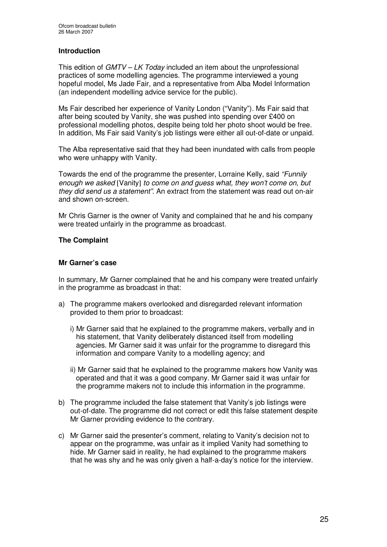### **Introduction**

This edition of *GMTV – LK Today* included an item about the unprofessional practices of some modelling agencies. The programme interviewed a young hopeful model, Ms Jade Fair, and a representative from Alba Model Information (an independent modelling advice service for the public).

Ms Fair described her experience of Vanity London ("Vanity"). Ms Fair said that after being scouted by Vanity, she was pushed into spending over £400 on professional modelling photos, despite being told her photo shoot would be free. In addition, Ms Fair said Vanity's job listings were either all out-of-date or unpaid.

The Alba representative said that they had been inundated with calls from people who were unhappy with Vanity.

Towards the end of the programme the presenter, Lorraine Kelly, said *"Funnily enough we asked* [Vanity] *to come on and guess what, they won't come on, but they did send us a statement"*. An extract from the statement was read out on-air and shown on-screen.

Mr Chris Garner is the owner of Vanity and complained that he and his company were treated unfairly in the programme as broadcast.

### **The Complaint**

### **Mr Garner's case**

In summary, Mr Garner complained that he and his company were treated unfairly in the programme as broadcast in that:

- a) The programme makers overlooked and disregarded relevant information provided to them prior to broadcast:
	- i) Mr Garner said that he explained to the programme makers, verbally and in his statement, that Vanity deliberately distanced itself from modelling agencies. Mr Garner said it was unfair for the programme to disregard this information and compare Vanity to a modelling agency; and
	- ii) Mr Garner said that he explained to the programme makers how Vanity was operated and that it was a good company. Mr Garner said it was unfair for the programme makers not to include this information in the programme.
- b) The programme included the false statement that Vanity's job listings were out-of-date. The programme did not correct or edit this false statement despite Mr Garner providing evidence to the contrary.
- c) Mr Garner said the presenter's comment, relating to Vanity's decision not to appear on the programme, was unfair as it implied Vanity had something to hide. Mr Garner said in reality, he had explained to the programme makers that he was shy and he was only given a half-a-day's notice for the interview.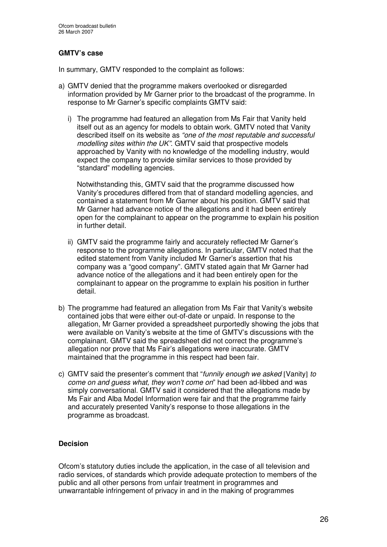### **GMTV's case**

In summary, GMTV responded to the complaint as follows:

- a) GMTV denied that the programme makers overlooked or disregarded information provided by Mr Garner prior to the broadcast of the programme. In response to Mr Garner's specific complaints GMTV said:
	- i) The programme had featured an allegation from Ms Fair that Vanity held itself out as an agency for models to obtain work. GMTV noted that Vanity described itself on its website as *"one of the most reputable and successful modelling sites within the UK"*. GMTV said that prospective models approached by Vanity with no knowledge of the modelling industry, would expect the company to provide similar services to those provided by "standard" modelling agencies.

Notwithstanding this, GMTV said that the programme discussed how Vanity's procedures differed from that of standard modelling agencies, and contained a statement from Mr Garner about his position. GMTV said that Mr Garner had advance notice of the allegations and it had been entirely open for the complainant to appear on the programme to explain his position in further detail.

- ii) GMTV said the programme fairly and accurately reflected Mr Garner's response to the programme allegations. In particular, GMTV noted that the edited statement from Vanity included Mr Garner's assertion that his company was a "good company". GMTV stated again that Mr Garner had advance notice of the allegations and it had been entirely open for the complainant to appear on the programme to explain his position in further detail.
- b) The programme had featured an allegation from Ms Fair that Vanity's website contained jobs that were either out-of-date or unpaid. In response to the allegation, Mr Garner provided a spreadsheet purportedly showing the jobs that were available on Vanity's website at the time of GMTV's discussions with the complainant. GMTV said the spreadsheet did not correct the programme's allegation nor prove that Ms Fair's allegations were inaccurate. GMTV maintained that the programme in this respect had been fair.
- c) GMTV said the presenter's comment that "*funnily enough we asked* [Vanity] *to come on and guess what, they won't come on*" had been ad-libbed and was simply conversational. GMTV said it considered that the allegations made by Ms Fair and Alba Model Information were fair and that the programme fairly and accurately presented Vanity's response to those allegations in the programme as broadcast.

### **Decision**

Ofcom's statutory duties include the application, in the case of all television and radio services, of standards which provide adequate protection to members of the public and all other persons from unfair treatment in programmes and unwarrantable infringement of privacy in and in the making of programmes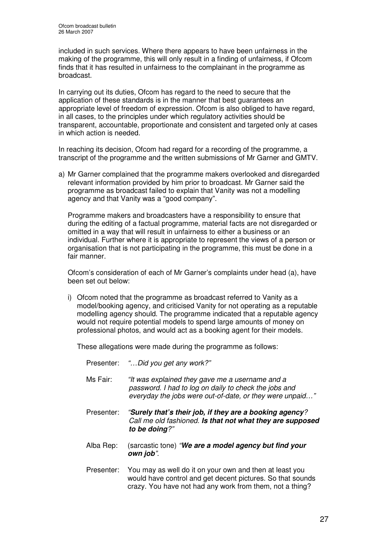included in such services. Where there appears to have been unfairness in the making of the programme, this will only result in a finding of unfairness, if Ofcom finds that it has resulted in unfairness to the complainant in the programme as broadcast.

In carrying out its duties, Ofcom has regard to the need to secure that the application of these standards is in the manner that best guarantees an appropriate level of freedom of expression. Ofcom is also obliged to have regard, in all cases, to the principles under which regulatory activities should be transparent, accountable, proportionate and consistent and targeted only at cases in which action is needed.

In reaching its decision, Ofcom had regard for a recording of the programme, a transcript of the programme and the written submissions of Mr Garner and GMTV.

a) Mr Garner complained that the programme makers overlooked and disregarded relevant information provided by him prior to broadcast. Mr Garner said the programme as broadcast failed to explain that Vanity was not a modelling agency and that Vanity was a "good company".

Programme makers and broadcasters have a responsibility to ensure that during the editing of a factual programme, material facts are not disregarded or omitted in a way that will result in unfairness to either a business or an individual. Further where it is appropriate to represent the views of a person or organisation that is not participating in the programme, this must be done in a fair manner.

Ofcom's consideration of each of Mr Garner's complaints under head (a), have been set out below:

i) Ofcom noted that the programme as broadcast referred to Vanity as a model/booking agency, and criticised Vanity for not operating as a reputable modelling agency should. The programme indicated that a reputable agency would not require potential models to spend large amounts of money on professional photos, and would act as a booking agent for their models.

These allegations were made during the programme as follows:

- Presenter: *"…Did you get any work?"*
- Ms Fair: *"It was explained they gave me a username and a password. I had to log on daily to check the jobs and everyday the jobs were out-of-date, or they were unpaid…"*
- Presenter: *"Surely that's their job, if they are a booking agency? Call me old fashioned. Is that not what they are supposed to be doing?"*
- Alba Rep: (sarcastic tone) *"We are a model agency but find your own job".*
- Presenter: You may as well do it on your own and then at least you would have control and get decent pictures. So that sounds crazy. You have not had any work from them, not a thing?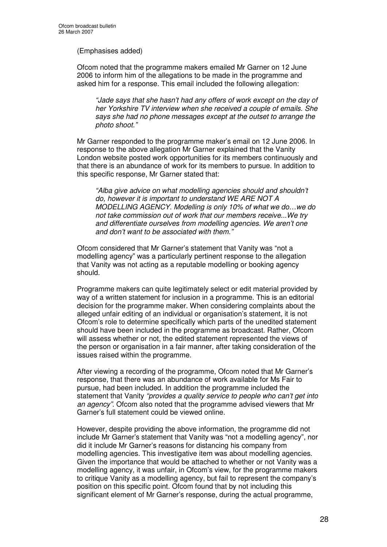### (Emphasises added)

Ofcom noted that the programme makers emailed Mr Garner on 12 June 2006 to inform him of the allegations to be made in the programme and asked him for a response. This email included the following allegation:

*"Jade says that she hasn't had any offers of work except on the day of her Yorkshire TV interview when she received a couple of emails. She says she had no phone messages except at the outset to arrange the photo shoot."*

Mr Garner responded to the programme maker's email on 12 June 2006. In response to the above allegation Mr Garner explained that the Vanity London website posted work opportunities for its members continuously and that there is an abundance of work for its members to pursue. In addition to this specific response, Mr Garner stated that:

*"Alba give advice on what modelling agencies should and shouldn't do, however it is important to understand WE ARE NOT A MODELLING AGENCY. Modelling is only 10% of what we do…we do not take commission out of work that our members receive...We try and differentiate ourselves from modelling agencies. We aren't one and don't want to be associated with them."*

Ofcom considered that Mr Garner's statement that Vanity was "not a modelling agency" was a particularly pertinent response to the allegation that Vanity was not acting as a reputable modelling or booking agency should.

Programme makers can quite legitimately select or edit material provided by way of a written statement for inclusion in a programme. This is an editorial decision for the programme maker. When considering complaints about the alleged unfair editing of an individual or organisation's statement, it is not Ofcom's role to determine specifically which parts of the unedited statement should have been included in the programme as broadcast. Rather, Ofcom will assess whether or not, the edited statement represented the views of the person or organisation in a fair manner, after taking consideration of the issues raised within the programme.

After viewing a recording of the programme, Ofcom noted that Mr Garner's response, that there was an abundance of work available for Ms Fair to pursue, had been included. In addition the programme included the statement that Vanity *"provides a quality service to people who can't get into an agency".* Ofcom also noted that the programme advised viewers that Mr Garner's full statement could be viewed online.

However, despite providing the above information, the programme did not include Mr Garner's statement that Vanity was "not a modelling agency", nor did it include Mr Garner's reasons for distancing his company from modelling agencies. This investigative item was about modelling agencies. Given the importance that would be attached to whether or not Vanity was a modelling agency, it was unfair, in Ofcom's view, for the programme makers to critique Vanity as a modelling agency, but fail to represent the company's position on this specific point. Ofcom found that by not including this significant element of Mr Garner's response, during the actual programme,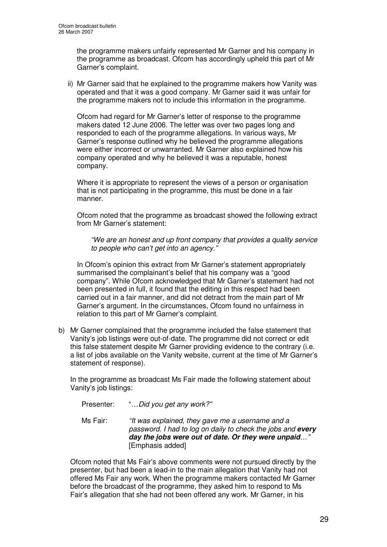the programme makers unfairly represented Mr Garner and his company in the programme as broadcast. Ofcom has accordingly upheld this part of Mr Garner's complaint.

ii) Mr Garner said that he explained to the programme makers how Vanity was operated and that it was a good company. Mr Garner said it was unfair for the programme makers not to include this information in the programme.

Ofcom had regard for Mr Garner's letter of response to the programme makers dated 12 June 2006. The letter was over two pages long and responded to each of the programme allegations. In various ways, Mr Garner's response outlined why he believed the programme allegations were either incorrect or unwarranted. Mr Garner also explained how his company operated and why he believed it was a reputable, honest company.

Where it is appropriate to represent the views of a person or organisation that is not participating in the programme, this must be done in a fair manner.

Ofcom noted that the programme as broadcast showed the following extract from Mr Garner's statement:

*"We are an honest and up front company that provides a quality service to people who can't get into an agency."*

In Ofcom's opinion this extract from Mr Garner's statement appropriately summarised the complainant's belief that his company was a "good company". While Ofcom acknowledged that Mr Garner's statement had not been presented in full, it found that the editing in this respect had been carried out in a fair manner, and did not detract from the main part of Mr Garner's argument. In the circumstances, Ofcom found no unfairness in relation to this part of Mr Garner's complaint.

b) Mr Garner complained that the programme included the false statement that Vanity's job listings were out-of-date. The programme did not correct or edit this false statement despite Mr Garner providing evidence to the contrary (i.e. a list of jobs available on the Vanity website, current at the time of Mr Garner's statement of response).

In the programme as broadcast Ms Fair made the following statement about Vanity's job listings:

| Presenter:<br>Ms Fair: | "Did you get any work?"<br>"It was explained, they gave me a username and a<br>password. I had to log on daily to check the jobs and every |
|------------------------|--------------------------------------------------------------------------------------------------------------------------------------------|
|                        | day the jobs were out of date. Or they were unpaid"<br>[Emphasis added]                                                                    |

Ofcom noted that Ms Fair's above comments were not pursued directly by the presenter, but had been a lead-in to the main allegation that Vanity had not offered Ms Fair any work. When the programme makers contacted Mr Garner before the broadcast of the programme, they asked him to respond to Ms Fair's allegation that she had not been offered any work. Mr Garner, in his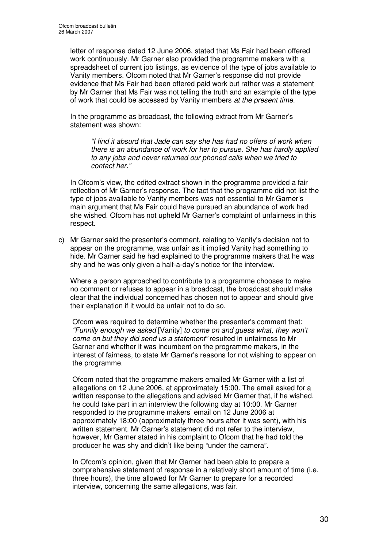letter of response dated 12 June 2006, stated that Ms Fair had been offered work continuously. Mr Garner also provided the programme makers with a spreadsheet of current job listings, as evidence of the type of jobs available to Vanity members. Ofcom noted that Mr Garner's response did not provide evidence that Ms Fair had been offered paid work but rather was a statement by Mr Garner that Ms Fair was not telling the truth and an example of the type of work that could be accessed by Vanity members *at the present time*.

In the programme as broadcast, the following extract from Mr Garner's statement was shown:

*"I find it absurd that Jade can say she has had no offers of work when there is an abundance of work for her to pursue. She has hardly applied to any jobs and never returned our phoned calls when we tried to contact her."*

In Ofcom's view, the edited extract shown in the programme provided a fair reflection of Mr Garner's response. The fact that the programme did not list the type of jobs available to Vanity members was not essential to Mr Garner's main argument that Ms Fair could have pursued an abundance of work had she wished. Ofcom has not upheld Mr Garner's complaint of unfairness in this respect.

c) Mr Garner said the presenter's comment, relating to Vanity's decision not to appear on the programme, was unfair as it implied Vanity had something to hide. Mr Garner said he had explained to the programme makers that he was shy and he was only given a half-a-day's notice for the interview.

Where a person approached to contribute to a programme chooses to make no comment or refuses to appear in a broadcast, the broadcast should make clear that the individual concerned has chosen not to appear and should give their explanation if it would be unfair not to do so.

Ofcom was required to determine whether the presenter's comment that: *"Funnily enough we asked* [Vanity] *to come on and guess what, they won't come on but they did send us a statement"* resulted in unfairness to Mr Garner and whether it was incumbent on the programme makers, in the interest of fairness, to state Mr Garner's reasons for not wishing to appear on the programme.

Ofcom noted that the programme makers emailed Mr Garner with a list of allegations on 12 June 2006, at approximately 15:00. The email asked for a written response to the allegations and advised Mr Garner that, if he wished, he could take part in an interview the following day at 10:00. Mr Garner responded to the programme makers' email on 12 June 2006 at approximately 18:00 (approximately three hours after it was sent), with his written statement. Mr Garner's statement did not refer to the interview, however, Mr Garner stated in his complaint to Ofcom that he had told the producer he was shy and didn't like being "under the camera".

In Ofcom's opinion, given that Mr Garner had been able to prepare a comprehensive statement of response in a relatively short amount of time (i.e. three hours), the time allowed for Mr Garner to prepare for a recorded interview, concerning the same allegations, was fair.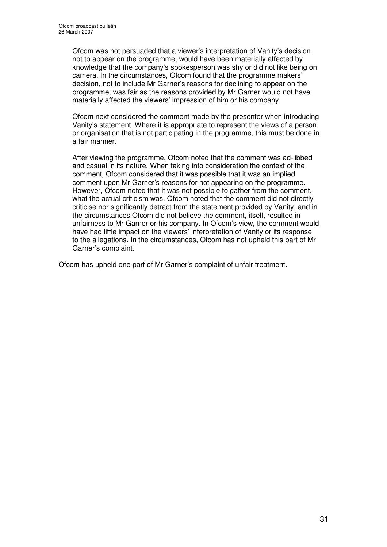Ofcom was not persuaded that a viewer's interpretation of Vanity's decision not to appear on the programme, would have been materially affected by knowledge that the company's spokesperson was shy or did not like being on camera. In the circumstances, Ofcom found that the programme makers' decision, not to include Mr Garner's reasons for declining to appear on the programme, was fair as the reasons provided by Mr Garner would not have materially affected the viewers' impression of him or his company.

Ofcom next considered the comment made by the presenter when introducing Vanity's statement. Where it is appropriate to represent the views of a person or organisation that is not participating in the programme, this must be done in a fair manner.

After viewing the programme, Ofcom noted that the comment was ad-libbed and casual in its nature. When taking into consideration the context of the comment, Ofcom considered that it was possible that it was an implied comment upon Mr Garner's reasons for not appearing on the programme. However, Ofcom noted that it was not possible to gather from the comment, what the actual criticism was. Ofcom noted that the comment did not directly criticise nor significantly detract from the statement provided by Vanity, and in the circumstances Ofcom did not believe the comment, itself, resulted in unfairness to Mr Garner or his company. In Ofcom's view, the comment would have had little impact on the viewers' interpretation of Vanity or its response to the allegations. In the circumstances, Ofcom has not upheld this part of Mr Garner's complaint.

Ofcom has upheld one part of Mr Garner's complaint of unfair treatment.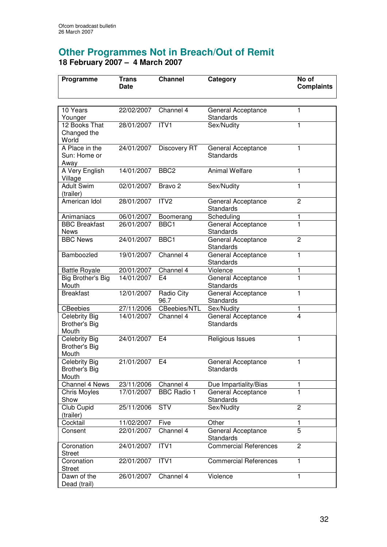# **Other Programmes Not in Breach/Out of Remit 18 February 2007 – 4 March 2007**

| Programme                                             | Trans<br><b>Date</b> | <b>Channel</b>     | Category                               | No of<br><b>Complaints</b> |
|-------------------------------------------------------|----------------------|--------------------|----------------------------------------|----------------------------|
|                                                       |                      |                    |                                        |                            |
| 10 Years<br>Younger                                   | 22/02/2007           | Channel 4          | General Acceptance<br>Standards        | 1                          |
| 12 Books That<br>Changed the<br>World                 | 28/01/2007           | ITV <sub>1</sub>   | Sex/Nudity                             | 1                          |
| A Place in the<br>Sun: Home or<br>Away                | 24/01/2007           | Discovery RT       | General Acceptance<br><b>Standards</b> | 1                          |
| A Very English<br>Village                             | 14/01/2007           | BBC <sub>2</sub>   | <b>Animal Welfare</b>                  | 1                          |
| <b>Adult Swim</b><br>(trailer)                        | 02/01/2007           | Bravo <sub>2</sub> | Sex/Nudity                             | 1                          |
| American Idol                                         | 28/01/2007           | ITV <sub>2</sub>   | General Acceptance<br>Standards        | $\overline{2}$             |
| Animaniacs                                            | 06/01/2007           | Boomerang          | Scheduling                             | 1                          |
| <b>BBC Breakfast</b><br><b>News</b>                   | 26/01/2007           | BBC <sub>1</sub>   | General Acceptance<br>Standards        | $\mathbf{1}$               |
| <b>BBC News</b>                                       | 24/01/2007           | BBC1               | General Acceptance<br>Standards        | $\overline{c}$             |
| Bamboozled                                            | 19/01/2007           | Channel 4          | General Acceptance<br>Standards        | $\mathbf{1}$               |
| <b>Battle Royale</b>                                  | 20/01/2007           | Channel 4          | Violence                               | 1                          |
| <b>Big Brother's Big</b><br>Mouth                     | 14/01/2007           | E <sub>4</sub>     | General Acceptance<br>Standards        | $\mathbf{1}$               |
| <b>Breakfast</b>                                      | 12/01/2007           | Radio City<br>96.7 | General Acceptance<br>Standards        | 1                          |
| <b>CBeebies</b>                                       | 27/11/2006           | CBeebies/NTL       | Sex/Nudity                             | 1                          |
| <b>Celebrity Big</b><br><b>Brother's Big</b><br>Mouth | 14/01/2007           | Channel 4          | General Acceptance<br><b>Standards</b> | 4                          |
| Celebrity Big<br><b>Brother's Big</b><br>Mouth        | 24/01/2007           | E <sub>4</sub>     | Religious Issues                       | 1                          |
| Celebrity Big<br><b>Brother's Big</b><br>Mouth        | 21/01/2007           | E <sub>4</sub>     | General Acceptance<br><b>Standards</b> | 1                          |
| Channel 4 News                                        | 23/11/2006           | Channel 4          | Due Impartiality/Bias                  | 1                          |
| <b>Chris Moyles</b><br>Show                           | 17/01/2007           | <b>BBC</b> Radio 1 | General Acceptance<br>Standards        | 1                          |
| Club Cupid<br>(trailer)                               | 25/11/2006           | <b>STV</b>         | Sex/Nudity                             | $\overline{c}$             |
| Cocktail                                              | 11/02/2007           | Five               | Other                                  | 1                          |
| Consent                                               | 22/01/2007           | Channel 4          | General Acceptance<br>Standards        | $\overline{5}$             |
| Coronation<br><b>Street</b>                           | 24/01/2007           | ITV1               | <b>Commercial References</b>           | $\overline{2}$             |
| Coronation<br><b>Street</b>                           | 22/01/2007           | ITVI               | <b>Commercial References</b>           | 1                          |
| Dawn of the<br>Dead (trail)                           | 26/01/2007           | Channel 4          | Violence                               | 1                          |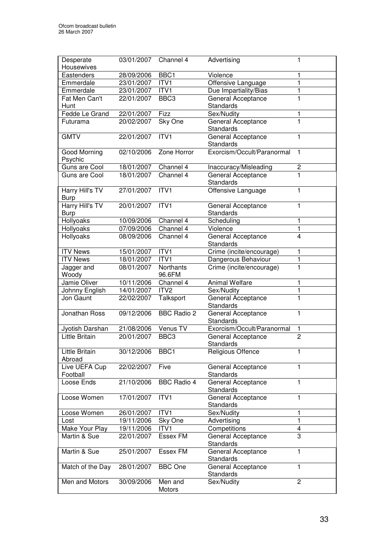| Eastenders<br>BBC <sub>1</sub><br>Violence<br>28/09/2006<br>1<br>Emmerdale<br>23/01/2007<br>ITV1<br>Offensive Language<br>1<br>Emmerdale<br>ITV1<br>Due Impartiality/Bias<br>23/01/2007<br>1<br>BBC <sub>3</sub><br>General Acceptance<br>1<br>Fat Men Can't<br>22/01/2007<br><b>Standards</b><br>Hunt<br>22/01/2007<br>Fizz<br>Fedde Le Grand<br>Sex/Nudity<br>1<br>$\overline{1}$<br>General Acceptance<br>20/02/2007<br>Sky One<br>Futurama<br>Standards<br>ITV1<br><b>GMTV</b><br>22/01/2007<br>1<br>General Acceptance<br>Standards<br>Exorcism/Occult/Paranormal<br>Zone Horror<br>02/10/2006<br><b>Good Morning</b><br>1<br>Psychic<br>Guns are Cool<br>18/01/2007<br>$\overline{\mathbf{c}}$<br>Channel 4<br>Inaccuracy/Misleading<br>$\overline{1}$<br>18/01/2007<br>Channel 4<br>General Acceptance<br>Guns are Cool<br><b>Standards</b><br>ITV <sub>1</sub><br>Offensive Language<br>Harry Hill's TV<br>27/01/2007<br>1<br><b>Burp</b><br>Harry Hill's TV<br>ITV1<br>20/01/2007<br>General Acceptance<br>1<br><b>Standards</b><br><b>Burp</b><br><b>Hollyoaks</b><br>10/09/2006<br>1<br>Channel 4<br>Scheduling<br>$\overline{1}$<br>07/09/2006<br>Hollyoaks<br>Channel 4<br>Violence<br>Hollyoaks<br>08/09/2006<br>General Acceptance<br>$\overline{4}$<br>Channel 4<br>Standards<br>Crime (incite/encourage)<br><b>ITV News</b><br>15/01/2007<br>ITV1<br>1<br>ITVI<br>1<br><b>ITV News</b><br>18/01/2007<br>Dangerous Behaviour<br>Crime (incite/encourage)<br>08/01/2007<br>Northants<br>1<br>Jagger and<br>Woody<br>96.6FM<br>Jamie Oliver<br>Channel 4<br>10/11/2006<br><b>Animal Welfare</b><br>1<br>ITV <sub>2</sub><br>$\mathbf{1}$<br>Johnny English<br>14/01/2007<br>Sex/Nudity<br>1<br>Jon Gaunt<br>Talksport<br>General Acceptance<br>22/02/2007<br>Standards<br><b>BBC Radio 2</b><br>Jonathan Ross<br>09/12/2006<br>General Acceptance<br>1<br>Standards<br>Exorcism/Occult/Paranormal<br>21/08/2006<br>Venus TV<br>Jyotish Darshan<br>1<br><b>Little Britain</b><br>$\overline{2}$<br>20/01/2007<br>BBC <sub>3</sub><br>General Acceptance<br>Standards<br>Little Britain<br>30/12/2006<br>BBC <sub>1</sub><br>Religious Offence<br>1<br>Abroad<br>22/02/2007<br>Live UEFA Cup<br>Five<br>General Acceptance<br>1<br>Football<br>Standards<br><b>BBC Radio 4</b><br>21/10/2006<br>General Acceptance<br>Loose Ends<br>1<br>Standards<br>Loose Women<br>17/01/2007<br>ITV1<br>General Acceptance<br>1<br>Standards<br>Loose Women<br>ITV1<br>Sex/Nudity<br>1<br>26/01/2007<br>$\mathbf{1}$<br>19/11/2006<br>Advertising<br>Lost<br>Sky One<br>Make Your Play<br>19/11/2006<br>Competitions<br>4<br>ITV1<br>3<br>Essex FM<br>Martin & Sue<br>22/01/2007<br>General Acceptance<br>Standards<br>Essex FM<br>Martin & Sue<br>25/01/2007<br>1<br>General Acceptance<br>Standards<br><b>BBC</b> One<br>1<br>28/01/2007<br>General Acceptance<br>Match of the Day<br>Standards<br>Men and Motors<br>$\overline{2}$<br>30/09/2006<br>Men and<br>Sex/Nudity<br>Motors | Desperate  | 03/01/2007 | Channel 4 | Advertising | 1 |
|---------------------------------------------------------------------------------------------------------------------------------------------------------------------------------------------------------------------------------------------------------------------------------------------------------------------------------------------------------------------------------------------------------------------------------------------------------------------------------------------------------------------------------------------------------------------------------------------------------------------------------------------------------------------------------------------------------------------------------------------------------------------------------------------------------------------------------------------------------------------------------------------------------------------------------------------------------------------------------------------------------------------------------------------------------------------------------------------------------------------------------------------------------------------------------------------------------------------------------------------------------------------------------------------------------------------------------------------------------------------------------------------------------------------------------------------------------------------------------------------------------------------------------------------------------------------------------------------------------------------------------------------------------------------------------------------------------------------------------------------------------------------------------------------------------------------------------------------------------------------------------------------------------------------------------------------------------------------------------------------------------------------------------------------------------------------------------------------------------------------------------------------------------------------------------------------------------------------------------------------------------------------------------------------------------------------------------------------------------------------------------------------------------------------------------------------------------------------------------------------------------------------------------------------------------------------------------------------------------------------------------------------------------------------------------------------------------------------------------------------------------------------------------------------------------------------------------------------------------------------------------------------------------------------------------------------------------------------------------------|------------|------------|-----------|-------------|---|
|                                                                                                                                                                                                                                                                                                                                                                                                                                                                                                                                                                                                                                                                                                                                                                                                                                                                                                                                                                                                                                                                                                                                                                                                                                                                                                                                                                                                                                                                                                                                                                                                                                                                                                                                                                                                                                                                                                                                                                                                                                                                                                                                                                                                                                                                                                                                                                                                                                                                                                                                                                                                                                                                                                                                                                                                                                                                                                                                                                                       | Housewives |            |           |             |   |
|                                                                                                                                                                                                                                                                                                                                                                                                                                                                                                                                                                                                                                                                                                                                                                                                                                                                                                                                                                                                                                                                                                                                                                                                                                                                                                                                                                                                                                                                                                                                                                                                                                                                                                                                                                                                                                                                                                                                                                                                                                                                                                                                                                                                                                                                                                                                                                                                                                                                                                                                                                                                                                                                                                                                                                                                                                                                                                                                                                                       |            |            |           |             |   |
|                                                                                                                                                                                                                                                                                                                                                                                                                                                                                                                                                                                                                                                                                                                                                                                                                                                                                                                                                                                                                                                                                                                                                                                                                                                                                                                                                                                                                                                                                                                                                                                                                                                                                                                                                                                                                                                                                                                                                                                                                                                                                                                                                                                                                                                                                                                                                                                                                                                                                                                                                                                                                                                                                                                                                                                                                                                                                                                                                                                       |            |            |           |             |   |
|                                                                                                                                                                                                                                                                                                                                                                                                                                                                                                                                                                                                                                                                                                                                                                                                                                                                                                                                                                                                                                                                                                                                                                                                                                                                                                                                                                                                                                                                                                                                                                                                                                                                                                                                                                                                                                                                                                                                                                                                                                                                                                                                                                                                                                                                                                                                                                                                                                                                                                                                                                                                                                                                                                                                                                                                                                                                                                                                                                                       |            |            |           |             |   |
|                                                                                                                                                                                                                                                                                                                                                                                                                                                                                                                                                                                                                                                                                                                                                                                                                                                                                                                                                                                                                                                                                                                                                                                                                                                                                                                                                                                                                                                                                                                                                                                                                                                                                                                                                                                                                                                                                                                                                                                                                                                                                                                                                                                                                                                                                                                                                                                                                                                                                                                                                                                                                                                                                                                                                                                                                                                                                                                                                                                       |            |            |           |             |   |
|                                                                                                                                                                                                                                                                                                                                                                                                                                                                                                                                                                                                                                                                                                                                                                                                                                                                                                                                                                                                                                                                                                                                                                                                                                                                                                                                                                                                                                                                                                                                                                                                                                                                                                                                                                                                                                                                                                                                                                                                                                                                                                                                                                                                                                                                                                                                                                                                                                                                                                                                                                                                                                                                                                                                                                                                                                                                                                                                                                                       |            |            |           |             |   |
|                                                                                                                                                                                                                                                                                                                                                                                                                                                                                                                                                                                                                                                                                                                                                                                                                                                                                                                                                                                                                                                                                                                                                                                                                                                                                                                                                                                                                                                                                                                                                                                                                                                                                                                                                                                                                                                                                                                                                                                                                                                                                                                                                                                                                                                                                                                                                                                                                                                                                                                                                                                                                                                                                                                                                                                                                                                                                                                                                                                       |            |            |           |             |   |
|                                                                                                                                                                                                                                                                                                                                                                                                                                                                                                                                                                                                                                                                                                                                                                                                                                                                                                                                                                                                                                                                                                                                                                                                                                                                                                                                                                                                                                                                                                                                                                                                                                                                                                                                                                                                                                                                                                                                                                                                                                                                                                                                                                                                                                                                                                                                                                                                                                                                                                                                                                                                                                                                                                                                                                                                                                                                                                                                                                                       |            |            |           |             |   |
|                                                                                                                                                                                                                                                                                                                                                                                                                                                                                                                                                                                                                                                                                                                                                                                                                                                                                                                                                                                                                                                                                                                                                                                                                                                                                                                                                                                                                                                                                                                                                                                                                                                                                                                                                                                                                                                                                                                                                                                                                                                                                                                                                                                                                                                                                                                                                                                                                                                                                                                                                                                                                                                                                                                                                                                                                                                                                                                                                                                       |            |            |           |             |   |
|                                                                                                                                                                                                                                                                                                                                                                                                                                                                                                                                                                                                                                                                                                                                                                                                                                                                                                                                                                                                                                                                                                                                                                                                                                                                                                                                                                                                                                                                                                                                                                                                                                                                                                                                                                                                                                                                                                                                                                                                                                                                                                                                                                                                                                                                                                                                                                                                                                                                                                                                                                                                                                                                                                                                                                                                                                                                                                                                                                                       |            |            |           |             |   |
|                                                                                                                                                                                                                                                                                                                                                                                                                                                                                                                                                                                                                                                                                                                                                                                                                                                                                                                                                                                                                                                                                                                                                                                                                                                                                                                                                                                                                                                                                                                                                                                                                                                                                                                                                                                                                                                                                                                                                                                                                                                                                                                                                                                                                                                                                                                                                                                                                                                                                                                                                                                                                                                                                                                                                                                                                                                                                                                                                                                       |            |            |           |             |   |
|                                                                                                                                                                                                                                                                                                                                                                                                                                                                                                                                                                                                                                                                                                                                                                                                                                                                                                                                                                                                                                                                                                                                                                                                                                                                                                                                                                                                                                                                                                                                                                                                                                                                                                                                                                                                                                                                                                                                                                                                                                                                                                                                                                                                                                                                                                                                                                                                                                                                                                                                                                                                                                                                                                                                                                                                                                                                                                                                                                                       |            |            |           |             |   |
|                                                                                                                                                                                                                                                                                                                                                                                                                                                                                                                                                                                                                                                                                                                                                                                                                                                                                                                                                                                                                                                                                                                                                                                                                                                                                                                                                                                                                                                                                                                                                                                                                                                                                                                                                                                                                                                                                                                                                                                                                                                                                                                                                                                                                                                                                                                                                                                                                                                                                                                                                                                                                                                                                                                                                                                                                                                                                                                                                                                       |            |            |           |             |   |
|                                                                                                                                                                                                                                                                                                                                                                                                                                                                                                                                                                                                                                                                                                                                                                                                                                                                                                                                                                                                                                                                                                                                                                                                                                                                                                                                                                                                                                                                                                                                                                                                                                                                                                                                                                                                                                                                                                                                                                                                                                                                                                                                                                                                                                                                                                                                                                                                                                                                                                                                                                                                                                                                                                                                                                                                                                                                                                                                                                                       |            |            |           |             |   |
|                                                                                                                                                                                                                                                                                                                                                                                                                                                                                                                                                                                                                                                                                                                                                                                                                                                                                                                                                                                                                                                                                                                                                                                                                                                                                                                                                                                                                                                                                                                                                                                                                                                                                                                                                                                                                                                                                                                                                                                                                                                                                                                                                                                                                                                                                                                                                                                                                                                                                                                                                                                                                                                                                                                                                                                                                                                                                                                                                                                       |            |            |           |             |   |
|                                                                                                                                                                                                                                                                                                                                                                                                                                                                                                                                                                                                                                                                                                                                                                                                                                                                                                                                                                                                                                                                                                                                                                                                                                                                                                                                                                                                                                                                                                                                                                                                                                                                                                                                                                                                                                                                                                                                                                                                                                                                                                                                                                                                                                                                                                                                                                                                                                                                                                                                                                                                                                                                                                                                                                                                                                                                                                                                                                                       |            |            |           |             |   |
|                                                                                                                                                                                                                                                                                                                                                                                                                                                                                                                                                                                                                                                                                                                                                                                                                                                                                                                                                                                                                                                                                                                                                                                                                                                                                                                                                                                                                                                                                                                                                                                                                                                                                                                                                                                                                                                                                                                                                                                                                                                                                                                                                                                                                                                                                                                                                                                                                                                                                                                                                                                                                                                                                                                                                                                                                                                                                                                                                                                       |            |            |           |             |   |
|                                                                                                                                                                                                                                                                                                                                                                                                                                                                                                                                                                                                                                                                                                                                                                                                                                                                                                                                                                                                                                                                                                                                                                                                                                                                                                                                                                                                                                                                                                                                                                                                                                                                                                                                                                                                                                                                                                                                                                                                                                                                                                                                                                                                                                                                                                                                                                                                                                                                                                                                                                                                                                                                                                                                                                                                                                                                                                                                                                                       |            |            |           |             |   |
|                                                                                                                                                                                                                                                                                                                                                                                                                                                                                                                                                                                                                                                                                                                                                                                                                                                                                                                                                                                                                                                                                                                                                                                                                                                                                                                                                                                                                                                                                                                                                                                                                                                                                                                                                                                                                                                                                                                                                                                                                                                                                                                                                                                                                                                                                                                                                                                                                                                                                                                                                                                                                                                                                                                                                                                                                                                                                                                                                                                       |            |            |           |             |   |
|                                                                                                                                                                                                                                                                                                                                                                                                                                                                                                                                                                                                                                                                                                                                                                                                                                                                                                                                                                                                                                                                                                                                                                                                                                                                                                                                                                                                                                                                                                                                                                                                                                                                                                                                                                                                                                                                                                                                                                                                                                                                                                                                                                                                                                                                                                                                                                                                                                                                                                                                                                                                                                                                                                                                                                                                                                                                                                                                                                                       |            |            |           |             |   |
|                                                                                                                                                                                                                                                                                                                                                                                                                                                                                                                                                                                                                                                                                                                                                                                                                                                                                                                                                                                                                                                                                                                                                                                                                                                                                                                                                                                                                                                                                                                                                                                                                                                                                                                                                                                                                                                                                                                                                                                                                                                                                                                                                                                                                                                                                                                                                                                                                                                                                                                                                                                                                                                                                                                                                                                                                                                                                                                                                                                       |            |            |           |             |   |
|                                                                                                                                                                                                                                                                                                                                                                                                                                                                                                                                                                                                                                                                                                                                                                                                                                                                                                                                                                                                                                                                                                                                                                                                                                                                                                                                                                                                                                                                                                                                                                                                                                                                                                                                                                                                                                                                                                                                                                                                                                                                                                                                                                                                                                                                                                                                                                                                                                                                                                                                                                                                                                                                                                                                                                                                                                                                                                                                                                                       |            |            |           |             |   |
|                                                                                                                                                                                                                                                                                                                                                                                                                                                                                                                                                                                                                                                                                                                                                                                                                                                                                                                                                                                                                                                                                                                                                                                                                                                                                                                                                                                                                                                                                                                                                                                                                                                                                                                                                                                                                                                                                                                                                                                                                                                                                                                                                                                                                                                                                                                                                                                                                                                                                                                                                                                                                                                                                                                                                                                                                                                                                                                                                                                       |            |            |           |             |   |
|                                                                                                                                                                                                                                                                                                                                                                                                                                                                                                                                                                                                                                                                                                                                                                                                                                                                                                                                                                                                                                                                                                                                                                                                                                                                                                                                                                                                                                                                                                                                                                                                                                                                                                                                                                                                                                                                                                                                                                                                                                                                                                                                                                                                                                                                                                                                                                                                                                                                                                                                                                                                                                                                                                                                                                                                                                                                                                                                                                                       |            |            |           |             |   |
|                                                                                                                                                                                                                                                                                                                                                                                                                                                                                                                                                                                                                                                                                                                                                                                                                                                                                                                                                                                                                                                                                                                                                                                                                                                                                                                                                                                                                                                                                                                                                                                                                                                                                                                                                                                                                                                                                                                                                                                                                                                                                                                                                                                                                                                                                                                                                                                                                                                                                                                                                                                                                                                                                                                                                                                                                                                                                                                                                                                       |            |            |           |             |   |
|                                                                                                                                                                                                                                                                                                                                                                                                                                                                                                                                                                                                                                                                                                                                                                                                                                                                                                                                                                                                                                                                                                                                                                                                                                                                                                                                                                                                                                                                                                                                                                                                                                                                                                                                                                                                                                                                                                                                                                                                                                                                                                                                                                                                                                                                                                                                                                                                                                                                                                                                                                                                                                                                                                                                                                                                                                                                                                                                                                                       |            |            |           |             |   |
|                                                                                                                                                                                                                                                                                                                                                                                                                                                                                                                                                                                                                                                                                                                                                                                                                                                                                                                                                                                                                                                                                                                                                                                                                                                                                                                                                                                                                                                                                                                                                                                                                                                                                                                                                                                                                                                                                                                                                                                                                                                                                                                                                                                                                                                                                                                                                                                                                                                                                                                                                                                                                                                                                                                                                                                                                                                                                                                                                                                       |            |            |           |             |   |
|                                                                                                                                                                                                                                                                                                                                                                                                                                                                                                                                                                                                                                                                                                                                                                                                                                                                                                                                                                                                                                                                                                                                                                                                                                                                                                                                                                                                                                                                                                                                                                                                                                                                                                                                                                                                                                                                                                                                                                                                                                                                                                                                                                                                                                                                                                                                                                                                                                                                                                                                                                                                                                                                                                                                                                                                                                                                                                                                                                                       |            |            |           |             |   |
|                                                                                                                                                                                                                                                                                                                                                                                                                                                                                                                                                                                                                                                                                                                                                                                                                                                                                                                                                                                                                                                                                                                                                                                                                                                                                                                                                                                                                                                                                                                                                                                                                                                                                                                                                                                                                                                                                                                                                                                                                                                                                                                                                                                                                                                                                                                                                                                                                                                                                                                                                                                                                                                                                                                                                                                                                                                                                                                                                                                       |            |            |           |             |   |
|                                                                                                                                                                                                                                                                                                                                                                                                                                                                                                                                                                                                                                                                                                                                                                                                                                                                                                                                                                                                                                                                                                                                                                                                                                                                                                                                                                                                                                                                                                                                                                                                                                                                                                                                                                                                                                                                                                                                                                                                                                                                                                                                                                                                                                                                                                                                                                                                                                                                                                                                                                                                                                                                                                                                                                                                                                                                                                                                                                                       |            |            |           |             |   |
|                                                                                                                                                                                                                                                                                                                                                                                                                                                                                                                                                                                                                                                                                                                                                                                                                                                                                                                                                                                                                                                                                                                                                                                                                                                                                                                                                                                                                                                                                                                                                                                                                                                                                                                                                                                                                                                                                                                                                                                                                                                                                                                                                                                                                                                                                                                                                                                                                                                                                                                                                                                                                                                                                                                                                                                                                                                                                                                                                                                       |            |            |           |             |   |
|                                                                                                                                                                                                                                                                                                                                                                                                                                                                                                                                                                                                                                                                                                                                                                                                                                                                                                                                                                                                                                                                                                                                                                                                                                                                                                                                                                                                                                                                                                                                                                                                                                                                                                                                                                                                                                                                                                                                                                                                                                                                                                                                                                                                                                                                                                                                                                                                                                                                                                                                                                                                                                                                                                                                                                                                                                                                                                                                                                                       |            |            |           |             |   |
|                                                                                                                                                                                                                                                                                                                                                                                                                                                                                                                                                                                                                                                                                                                                                                                                                                                                                                                                                                                                                                                                                                                                                                                                                                                                                                                                                                                                                                                                                                                                                                                                                                                                                                                                                                                                                                                                                                                                                                                                                                                                                                                                                                                                                                                                                                                                                                                                                                                                                                                                                                                                                                                                                                                                                                                                                                                                                                                                                                                       |            |            |           |             |   |
|                                                                                                                                                                                                                                                                                                                                                                                                                                                                                                                                                                                                                                                                                                                                                                                                                                                                                                                                                                                                                                                                                                                                                                                                                                                                                                                                                                                                                                                                                                                                                                                                                                                                                                                                                                                                                                                                                                                                                                                                                                                                                                                                                                                                                                                                                                                                                                                                                                                                                                                                                                                                                                                                                                                                                                                                                                                                                                                                                                                       |            |            |           |             |   |
|                                                                                                                                                                                                                                                                                                                                                                                                                                                                                                                                                                                                                                                                                                                                                                                                                                                                                                                                                                                                                                                                                                                                                                                                                                                                                                                                                                                                                                                                                                                                                                                                                                                                                                                                                                                                                                                                                                                                                                                                                                                                                                                                                                                                                                                                                                                                                                                                                                                                                                                                                                                                                                                                                                                                                                                                                                                                                                                                                                                       |            |            |           |             |   |
|                                                                                                                                                                                                                                                                                                                                                                                                                                                                                                                                                                                                                                                                                                                                                                                                                                                                                                                                                                                                                                                                                                                                                                                                                                                                                                                                                                                                                                                                                                                                                                                                                                                                                                                                                                                                                                                                                                                                                                                                                                                                                                                                                                                                                                                                                                                                                                                                                                                                                                                                                                                                                                                                                                                                                                                                                                                                                                                                                                                       |            |            |           |             |   |
|                                                                                                                                                                                                                                                                                                                                                                                                                                                                                                                                                                                                                                                                                                                                                                                                                                                                                                                                                                                                                                                                                                                                                                                                                                                                                                                                                                                                                                                                                                                                                                                                                                                                                                                                                                                                                                                                                                                                                                                                                                                                                                                                                                                                                                                                                                                                                                                                                                                                                                                                                                                                                                                                                                                                                                                                                                                                                                                                                                                       |            |            |           |             |   |
|                                                                                                                                                                                                                                                                                                                                                                                                                                                                                                                                                                                                                                                                                                                                                                                                                                                                                                                                                                                                                                                                                                                                                                                                                                                                                                                                                                                                                                                                                                                                                                                                                                                                                                                                                                                                                                                                                                                                                                                                                                                                                                                                                                                                                                                                                                                                                                                                                                                                                                                                                                                                                                                                                                                                                                                                                                                                                                                                                                                       |            |            |           |             |   |
|                                                                                                                                                                                                                                                                                                                                                                                                                                                                                                                                                                                                                                                                                                                                                                                                                                                                                                                                                                                                                                                                                                                                                                                                                                                                                                                                                                                                                                                                                                                                                                                                                                                                                                                                                                                                                                                                                                                                                                                                                                                                                                                                                                                                                                                                                                                                                                                                                                                                                                                                                                                                                                                                                                                                                                                                                                                                                                                                                                                       |            |            |           |             |   |
|                                                                                                                                                                                                                                                                                                                                                                                                                                                                                                                                                                                                                                                                                                                                                                                                                                                                                                                                                                                                                                                                                                                                                                                                                                                                                                                                                                                                                                                                                                                                                                                                                                                                                                                                                                                                                                                                                                                                                                                                                                                                                                                                                                                                                                                                                                                                                                                                                                                                                                                                                                                                                                                                                                                                                                                                                                                                                                                                                                                       |            |            |           |             |   |
|                                                                                                                                                                                                                                                                                                                                                                                                                                                                                                                                                                                                                                                                                                                                                                                                                                                                                                                                                                                                                                                                                                                                                                                                                                                                                                                                                                                                                                                                                                                                                                                                                                                                                                                                                                                                                                                                                                                                                                                                                                                                                                                                                                                                                                                                                                                                                                                                                                                                                                                                                                                                                                                                                                                                                                                                                                                                                                                                                                                       |            |            |           |             |   |
|                                                                                                                                                                                                                                                                                                                                                                                                                                                                                                                                                                                                                                                                                                                                                                                                                                                                                                                                                                                                                                                                                                                                                                                                                                                                                                                                                                                                                                                                                                                                                                                                                                                                                                                                                                                                                                                                                                                                                                                                                                                                                                                                                                                                                                                                                                                                                                                                                                                                                                                                                                                                                                                                                                                                                                                                                                                                                                                                                                                       |            |            |           |             |   |
|                                                                                                                                                                                                                                                                                                                                                                                                                                                                                                                                                                                                                                                                                                                                                                                                                                                                                                                                                                                                                                                                                                                                                                                                                                                                                                                                                                                                                                                                                                                                                                                                                                                                                                                                                                                                                                                                                                                                                                                                                                                                                                                                                                                                                                                                                                                                                                                                                                                                                                                                                                                                                                                                                                                                                                                                                                                                                                                                                                                       |            |            |           |             |   |
|                                                                                                                                                                                                                                                                                                                                                                                                                                                                                                                                                                                                                                                                                                                                                                                                                                                                                                                                                                                                                                                                                                                                                                                                                                                                                                                                                                                                                                                                                                                                                                                                                                                                                                                                                                                                                                                                                                                                                                                                                                                                                                                                                                                                                                                                                                                                                                                                                                                                                                                                                                                                                                                                                                                                                                                                                                                                                                                                                                                       |            |            |           |             |   |
|                                                                                                                                                                                                                                                                                                                                                                                                                                                                                                                                                                                                                                                                                                                                                                                                                                                                                                                                                                                                                                                                                                                                                                                                                                                                                                                                                                                                                                                                                                                                                                                                                                                                                                                                                                                                                                                                                                                                                                                                                                                                                                                                                                                                                                                                                                                                                                                                                                                                                                                                                                                                                                                                                                                                                                                                                                                                                                                                                                                       |            |            |           |             |   |
|                                                                                                                                                                                                                                                                                                                                                                                                                                                                                                                                                                                                                                                                                                                                                                                                                                                                                                                                                                                                                                                                                                                                                                                                                                                                                                                                                                                                                                                                                                                                                                                                                                                                                                                                                                                                                                                                                                                                                                                                                                                                                                                                                                                                                                                                                                                                                                                                                                                                                                                                                                                                                                                                                                                                                                                                                                                                                                                                                                                       |            |            |           |             |   |
|                                                                                                                                                                                                                                                                                                                                                                                                                                                                                                                                                                                                                                                                                                                                                                                                                                                                                                                                                                                                                                                                                                                                                                                                                                                                                                                                                                                                                                                                                                                                                                                                                                                                                                                                                                                                                                                                                                                                                                                                                                                                                                                                                                                                                                                                                                                                                                                                                                                                                                                                                                                                                                                                                                                                                                                                                                                                                                                                                                                       |            |            |           |             |   |
|                                                                                                                                                                                                                                                                                                                                                                                                                                                                                                                                                                                                                                                                                                                                                                                                                                                                                                                                                                                                                                                                                                                                                                                                                                                                                                                                                                                                                                                                                                                                                                                                                                                                                                                                                                                                                                                                                                                                                                                                                                                                                                                                                                                                                                                                                                                                                                                                                                                                                                                                                                                                                                                                                                                                                                                                                                                                                                                                                                                       |            |            |           |             |   |
|                                                                                                                                                                                                                                                                                                                                                                                                                                                                                                                                                                                                                                                                                                                                                                                                                                                                                                                                                                                                                                                                                                                                                                                                                                                                                                                                                                                                                                                                                                                                                                                                                                                                                                                                                                                                                                                                                                                                                                                                                                                                                                                                                                                                                                                                                                                                                                                                                                                                                                                                                                                                                                                                                                                                                                                                                                                                                                                                                                                       |            |            |           |             |   |
|                                                                                                                                                                                                                                                                                                                                                                                                                                                                                                                                                                                                                                                                                                                                                                                                                                                                                                                                                                                                                                                                                                                                                                                                                                                                                                                                                                                                                                                                                                                                                                                                                                                                                                                                                                                                                                                                                                                                                                                                                                                                                                                                                                                                                                                                                                                                                                                                                                                                                                                                                                                                                                                                                                                                                                                                                                                                                                                                                                                       |            |            |           |             |   |
|                                                                                                                                                                                                                                                                                                                                                                                                                                                                                                                                                                                                                                                                                                                                                                                                                                                                                                                                                                                                                                                                                                                                                                                                                                                                                                                                                                                                                                                                                                                                                                                                                                                                                                                                                                                                                                                                                                                                                                                                                                                                                                                                                                                                                                                                                                                                                                                                                                                                                                                                                                                                                                                                                                                                                                                                                                                                                                                                                                                       |            |            |           |             |   |
|                                                                                                                                                                                                                                                                                                                                                                                                                                                                                                                                                                                                                                                                                                                                                                                                                                                                                                                                                                                                                                                                                                                                                                                                                                                                                                                                                                                                                                                                                                                                                                                                                                                                                                                                                                                                                                                                                                                                                                                                                                                                                                                                                                                                                                                                                                                                                                                                                                                                                                                                                                                                                                                                                                                                                                                                                                                                                                                                                                                       |            |            |           |             |   |
|                                                                                                                                                                                                                                                                                                                                                                                                                                                                                                                                                                                                                                                                                                                                                                                                                                                                                                                                                                                                                                                                                                                                                                                                                                                                                                                                                                                                                                                                                                                                                                                                                                                                                                                                                                                                                                                                                                                                                                                                                                                                                                                                                                                                                                                                                                                                                                                                                                                                                                                                                                                                                                                                                                                                                                                                                                                                                                                                                                                       |            |            |           |             |   |
|                                                                                                                                                                                                                                                                                                                                                                                                                                                                                                                                                                                                                                                                                                                                                                                                                                                                                                                                                                                                                                                                                                                                                                                                                                                                                                                                                                                                                                                                                                                                                                                                                                                                                                                                                                                                                                                                                                                                                                                                                                                                                                                                                                                                                                                                                                                                                                                                                                                                                                                                                                                                                                                                                                                                                                                                                                                                                                                                                                                       |            |            |           |             |   |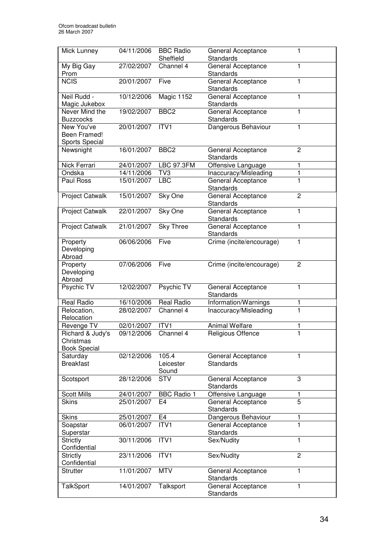| Mick Lunney                                          | 04/11/2006 | <b>BBC Radio</b><br>Sheffield | General Acceptance<br>Standards        | 1              |
|------------------------------------------------------|------------|-------------------------------|----------------------------------------|----------------|
| My Big Gay<br>Prom                                   | 27/02/2007 | Channel 4                     | General Acceptance<br>Standards        | 1              |
| <b>NCIS</b>                                          | 20/01/2007 | Five                          | General Acceptance<br>Standards        | 1              |
| Neil Rudd -<br>Magic Jukebox                         | 10/12/2006 | Magic 1152                    | General Acceptance<br>Standards        | 1              |
| Never Mind the<br><b>Buzzcocks</b>                   | 19/02/2007 | BBC <sub>2</sub>              | General Acceptance<br>Standards        | 1              |
| New You've<br>Been Framed!<br>Sports Special         | 20/01/2007 | ITV1                          | Dangerous Behaviour                    | 1              |
| Newsnight                                            | 16/01/2007 | BBC <sub>2</sub>              | General Acceptance<br>Standards        | $\overline{2}$ |
| Nick Ferrari                                         | 24/01/2007 | <b>LBC 97.3FM</b>             | Offensive Language                     | 1              |
| Ondska                                               | 14/11/2006 | TV3                           | Inaccuracy/Misleading                  | $\mathbf{1}$   |
| Paul Ross                                            | 15/01/2007 | <b>LBC</b>                    | General Acceptance<br>Standards        | $\mathbf{1}$   |
| Project Catwalk                                      | 15/01/2007 | Sky One                       | General Acceptance<br>Standards        | $\overline{2}$ |
| Project Catwalk                                      | 22/01/2007 | Sky One                       | General Acceptance<br>Standards        | 1              |
| Project Catwalk                                      | 21/01/2007 | <b>Sky Three</b>              | General Acceptance<br><b>Standards</b> | 1              |
| Property<br>Developing<br>Abroad                     | 06/06/2006 | Five                          | Crime (incite/encourage)               | 1              |
| Property<br>Developing<br>Abroad                     | 07/06/2006 | Five                          | Crime (incite/encourage)               | $\overline{2}$ |
| Psychic TV                                           | 12/02/2007 | Psychic TV                    | General Acceptance<br>Standards        | $\mathbf{1}$   |
| Real Radio                                           | 16/10/2006 | Real Radio                    | Information/Warnings                   | 1              |
| Relocation,<br>Relocation                            | 28/02/2007 | Channel 4                     | Inaccuracy/Misleading                  | 1              |
| Revenge TV                                           | 02/01/2007 | ITVI                          | <b>Animal Welfare</b>                  | 1              |
| Richard & Judy's<br>Christmas<br><b>Book Special</b> | 09/12/2006 | Channel 4                     | <b>Religious Offence</b>               | $\overline{1}$ |
| Saturday<br><b>Breakfast</b>                         | 02/12/2006 | 105.4<br>Leicester<br>Sound   | General Acceptance<br>Standards        | 1              |
| Scotsport                                            | 28/12/2006 | <b>STV</b>                    | General Acceptance<br><b>Standards</b> | 3              |
| <b>Scott Mills</b>                                   | 24/01/2007 | <b>BBC Radio 1</b>            | Offensive Language                     | 1              |
| <b>Skins</b>                                         | 25/01/2007 | E4                            | General Acceptance<br>Standards        | 5              |
| <b>Skins</b>                                         | 25/01/2007 | E <sub>4</sub>                | Dangerous Behaviour                    | 1              |
| Soapstar<br>Superstar                                | 06/01/2007 | ITVI                          | General Acceptance<br><b>Standards</b> | $\overline{1}$ |
| <b>Strictly</b><br>Confidential                      | 30/11/2006 | ITV1                          | Sex/Nudity                             | 1              |
| <b>Strictly</b><br>Confidential                      | 23/11/2006 | ITV1                          | Sex/Nudity                             | $\overline{c}$ |
| <b>Strutter</b>                                      | 11/01/2007 | <b>MTV</b>                    | General Acceptance<br>Standards        | 1              |
| <b>TalkSport</b>                                     | 14/01/2007 | Talksport                     | General Acceptance<br>Standards        | 1              |